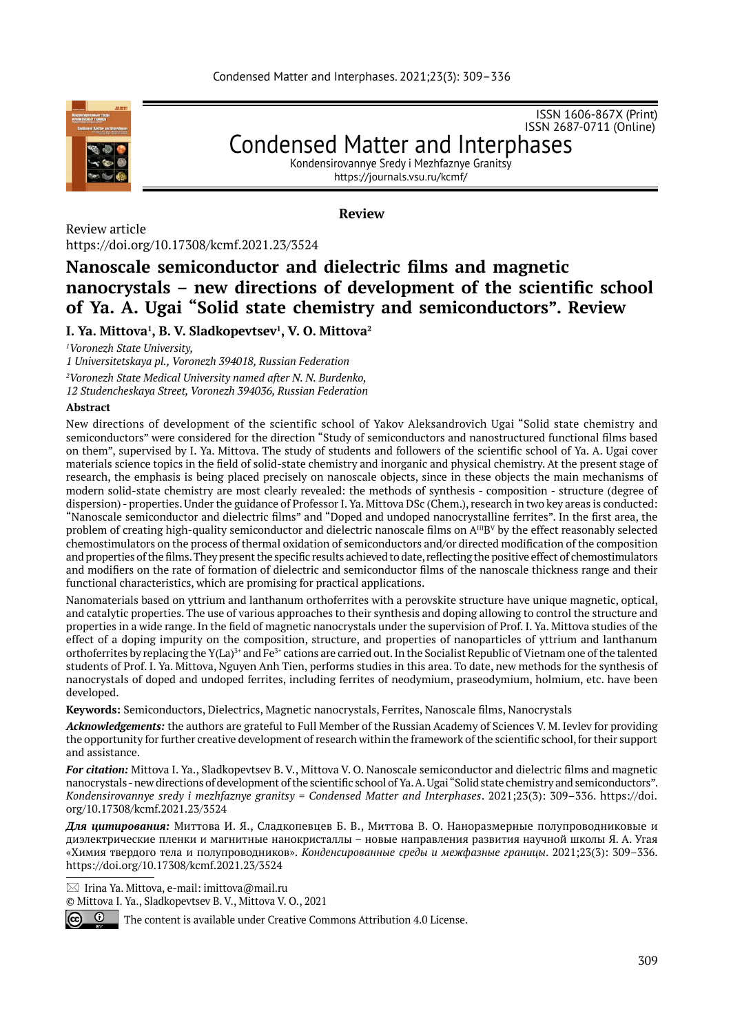

ISSN 1606-867Х (Print) ISSN 2687-0711 (Online)

## Condensed Matter and Interphases Kondensirovannye Sredy i Mezhfaznye Granitsy

https://journals.vsu.ru/kcmf/

**Review**

Review article https://doi.org/10.17308/kcmf.2021.23/3524

# **Nanoscale semiconductor and dielectric films and magnetic nanocrystals – new directions of development of the scientific school of Ya. A. Ugai "Solid state chemistry and semiconductors". Review**

**I. Ya. Mittova1 , B. V. Sladkopevtsev1 , V. O. Mittova2 \***

*1 Voronezh State University,* 

*1 Universitetskaya pl., Voronezh 394018, Russian Federation 2 Voronezh State Medical University named after N. N. Burdenko,* 

*12 Studencheskaya Street, Voronezh 394036, Russian Federation*

### **Abstract**

New directions of development of the scientific school of Yakov Aleksandrovich Ugai "Solid state chemistry and semiconductors" were considered for the direction "Study of semiconductors and nanostructured functional films based on them", supervised by I. Ya. Mittova. The study of students and followers of the scientific school of Ya. A. Ugai cover materials science topics in the field of solid-state chemistry and inorganic and physical chemistry. At the present stage of research, the emphasis is being placed precisely on nanoscale objects, since in these objects the main mechanisms of modern solid-state chemistry are most clearly revealed: the methods of synthesis - composition - structure (degree of dispersion) - properties. Under the guidance of Professor I. Ya. Mittova DSc (Chem.), research in two key areas is conducted: "Nanoscale semiconductor and dielectric films" and "Doped and undoped nanocrystalline ferrites". In the first area, the problem of creating high-quality semiconductor and dielectric nanoscale films on  $A^{III}B^V$  by the effect reasonably selected chemostimulators on the process of thermal oxidation of semiconductors and/or directed modification of the composition and properties of the films. They present the specific results achieved to date, reflecting the positive effect of chemostimulators and modifiers on the rate of formation of dielectric and semiconductor films of the nanoscale thickness range and their functional characteristics, which are promising for practical applications.

Nanomaterials based on yttrium and lanthanum orthoferrites with a perovskite structure have unique magnetic, optical, and catalytic properties. The use of various approaches to their synthesis and doping allowing to control the structure and properties in a wide range. In the field of magnetic nanocrystals under the supervision of Prof. I. Ya. Mittova studies of the effect of a doping impurity on the composition, structure, and properties of nanoparticles of yttrium and lanthanum orthoferrites by replacing the  $Y(La)^{3+}$  and Fe<sup>3+</sup> cations are carried out. In the Socialist Republic of Vietnam one of the talented students of Prof. I. Ya. Mittova, Nguyen Anh Tien, performs studies in this area. To date, new methods for the synthesis of nanocrystals of doped and undoped ferrites, including ferrites of neodymium, praseodymium, holmium, etc. have been developed.

**Keywords:** Semiconductors, Dielectrics, Magnetic nanocrystals, Ferrites, Nanoscale films, Nanocrystals

*Acknowledgements:* the authors are grateful to Full Member of the Russian Academy of Sciences V. M. Ievlev for providing the opportunity for further creative development of research within the framework of the scientific school, for their support and assistance.

*For citation:* Mittova I. Ya., Sladkopevtsev B. V., Mittova V. O. Nanoscale semiconductor and dielectric films and magnetic nanocrystals - new directions of development of the scientific school of Ya. A. Ugai "Solid state chemistry and semiconductors". *Kondensirovannye sredy i mezhfaznye granitsy = Condensed Matter and Interphases*. 2021;23(3): 309–336. https://doi. org/10.17308/kcmf.2021.23/3524

*Для цитирования:* Миттова И. Я., Сладкопевцев Б. В., Миттова В. О. Наноразмерные полупроводниковые и диэлектрические пленки и магнитные нанокристаллы – новые направления развития научной школы Я. А. Угая «Химия твердого тела и полупроводников». *Конденсированные среды и межфазные границы*. 2021;23(3): 309–336. https://doi.org/10.17308/kcmf.2021.23/3524

 $\boxtimes$  Irina Ya. Mittova, e-mail: imittova@mail.ru

© Mittova I. Ya., Sladkopevtsev B. V., Mittova V. O., 2021



The content is available under Creative Commons Attribution 4.0 License.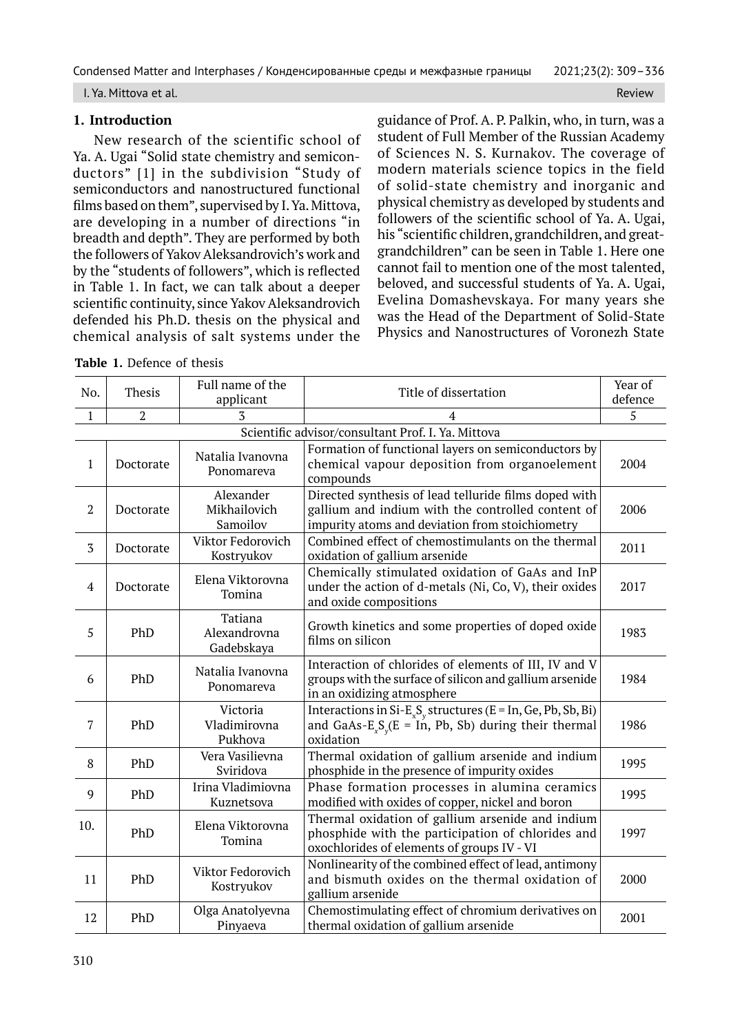I. Ya. Mittova et al. Review

### **1. Introduction**

New research of the scientific school of Ya. A. Ugai "Solid state chemistry and semiconductors" [1] in the subdivision "Study of semiconductors and nanostructured functional films based on them", supervised by I. Ya. Mittova, are developing in a number of directions "in breadth and depth". They are performed by both the followers of Yakov Aleksandrovich's work and by the "students of followers", which is reflected in Table 1. In fact, we can talk about a deeper scientific continuity, since Yakov Aleksandrovich defended his Ph.D. thesis on the physical and chemical analysis of salt systems under the

**Table 1.** Defence of thesis

guidance of Prof. A. P. Palkin, who, in turn, was a student of Full Member of the Russian Academy of Sciences N. S. Kurnakov. The coverage of modern materials science topics in the field of solid-state chemistry and inorganic and physical chemistry as developed by students and followers of the scientific school of Ya. A. Ugai, his "scientific children, grandchildren, and greatgrandchildren" can be seen in Table 1. Here one cannot fail to mention one of the most talented, beloved, and successful students of Ya. A. Ugai, Evelina Domashevskaya. For many years she was the Head of the Department of Solid-State Physics and Nanostructures of Voronezh State

| No.            | Thesis         | Full name of the<br>applicant         | Title of dissertation                                                                                                                                         | Year of<br>defence |
|----------------|----------------|---------------------------------------|---------------------------------------------------------------------------------------------------------------------------------------------------------------|--------------------|
| $\mathbf{1}$   | $\overline{2}$ | 3                                     |                                                                                                                                                               | 5                  |
|                |                |                                       | Scientific advisor/consultant Prof. I. Ya. Mittova                                                                                                            |                    |
| $\mathbf{1}$   | Doctorate      | Natalia Ivanovna<br>Ponomareva        | Formation of functional layers on semiconductors by<br>chemical vapour deposition from organoelement<br>compounds                                             | 2004               |
| $\overline{2}$ | Doctorate      | Alexander<br>Mikhailovich<br>Samoilov | Directed synthesis of lead telluride films doped with<br>gallium and indium with the controlled content of<br>impurity atoms and deviation from stoichiometry | 2006               |
| $\overline{3}$ | Doctorate      | Viktor Fedorovich<br>Kostryukov       | Combined effect of chemostimulants on the thermal<br>oxidation of gallium arsenide                                                                            | 2011               |
| $\overline{4}$ | Doctorate      | Elena Viktorovna<br>Tomina            | Chemically stimulated oxidation of GaAs and InP<br>under the action of d-metals (Ni, Co, V), their oxides<br>and oxide compositions                           | 2017               |
| 5              | PhD            | Tatiana<br>Alexandrovna<br>Gadebskaya | Growth kinetics and some properties of doped oxide<br>films on silicon                                                                                        | 1983               |
| 6              | PhD            | Natalia Ivanovna<br>Ponomareva        | Interaction of chlorides of elements of III, IV and V<br>groups with the surface of silicon and gallium arsenide<br>in an oxidizing atmosphere                | 1984               |
| $\overline{7}$ | PhD            | Victoria<br>Vladimirovna<br>Pukhova   | Interactions in Si- $E_xS_y$ structures (E = In, Ge, $\overline{Pb}$ , Sb, Bi)<br>and GaAs- $E_xS_y(E = \hat{I}n, Pb, Sb)$ during their thermal<br>oxidation  | 1986               |
| 8              | PhD            | Vera Vasilievna<br>Sviridova          | Thermal oxidation of gallium arsenide and indium<br>phosphide in the presence of impurity oxides                                                              | 1995               |
| 9              | PhD            | Irina Vladimiovna<br>Kuznetsova       | Phase formation processes in alumina ceramics<br>modified with oxides of copper, nickel and boron                                                             | 1995               |
| 10.            | PhD            | Elena Viktorovna<br>Tomina            | Thermal oxidation of gallium arsenide and indium<br>phosphide with the participation of chlorides and<br>oxochlorides of elements of groups IV - VI           | 1997               |
| 11             | PhD            | Viktor Fedorovich<br>Kostryukov       | Nonlinearity of the combined effect of lead, antimony<br>and bismuth oxides on the thermal oxidation of<br>gallium arsenide                                   | 2000               |
| 12             | PhD            | Olga Anatolyevna<br>Pinyaeva          | Chemostimulating effect of chromium derivatives on<br>thermal oxidation of gallium arsenide                                                                   | 2001               |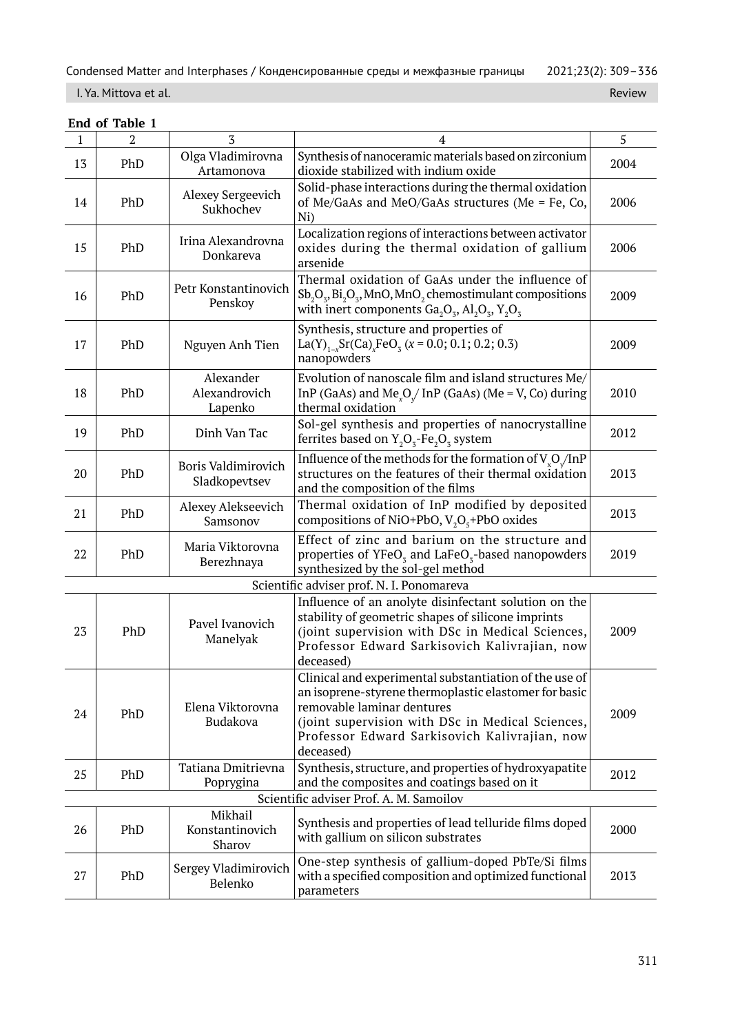## I. Ya. Mittova et al. Review

|              | End of Table 1                          |                                       |                                                                                                                                                                                                                                                                 |      |  |  |
|--------------|-----------------------------------------|---------------------------------------|-----------------------------------------------------------------------------------------------------------------------------------------------------------------------------------------------------------------------------------------------------------------|------|--|--|
| $\mathbf{1}$ | 2                                       | 3                                     | 4                                                                                                                                                                                                                                                               | 5    |  |  |
| 13           | PhD                                     | Olga Vladimirovna<br>Artamonova       | Synthesis of nanoceramic materials based on zirconium<br>dioxide stabilized with indium oxide                                                                                                                                                                   | 2004 |  |  |
| 14           | PhD                                     | Alexey Sergeevich<br>Sukhochev        | Solid-phase interactions during the thermal oxidation<br>of Me/GaAs and MeO/GaAs structures (Me = Fe, Co,<br>Ni)                                                                                                                                                | 2006 |  |  |
| 15           | PhD                                     | Irina Alexandrovna<br>Donkareva       | Localization regions of interactions between activator<br>oxides during the thermal oxidation of gallium<br>arsenide                                                                                                                                            | 2006 |  |  |
| 16           | PhD                                     | Petr Konstantinovich<br>Penskoy       | Thermal oxidation of GaAs under the influence of<br>$Sb_2O_3$ , $Bi_2O_3$ , MnO, MnO <sub>2</sub> chemostimulant compositions<br>with inert components $Ga_2O_3$ , $Al_2O_3$ , $Y_2O_3$                                                                         | 2009 |  |  |
| 17           | PhD                                     | Nguyen Anh Tien                       | Synthesis, structure and properties of<br>La(Y) <sub>1-x</sub> Sr(Ca) <sub>x</sub> FeO <sub>3</sub> (x = 0.0; 0.1; 0.2; 0.3)<br>nanopowders                                                                                                                     | 2009 |  |  |
| 18           | PhD                                     | Alexander<br>Alexandrovich<br>Lapenko | Evolution of nanoscale film and island structures Me/<br>InP (GaAs) and Me <sub>v</sub> O <sub>/</sub> InP (GaAs) (Me = V, Co) during<br>thermal oxidation                                                                                                      | 2010 |  |  |
| 19           | PhD                                     | Dinh Van Tac                          | Sol-gel synthesis and properties of nanocrystalline<br>ferrites based on $Y_2O_3$ -Fe <sub>2</sub> O <sub>3</sub> system                                                                                                                                        | 2012 |  |  |
| 20           | PhD                                     | Boris Valdimirovich<br>Sladkopevtsev  | Influence of the methods for the formation of $V_vO_v/InP$<br>structures on the features of their thermal oxidation<br>and the composition of the films                                                                                                         | 2013 |  |  |
| 21           | PhD                                     | Alexey Alekseevich<br>Samsonov        | Thermal oxidation of InP modified by deposited<br>compositions of NiO+PbO, $V_2O_5$ +PbO oxides                                                                                                                                                                 | 2013 |  |  |
| 22           | PhD                                     | Maria Viktorovna<br>Berezhnaya        | Effect of zinc and barium on the structure and<br>properties of $YFeOz$ and LaFeO <sub>z</sub> -based nanopowders<br>synthesized by the sol-gel method                                                                                                          | 2019 |  |  |
|              |                                         |                                       | Scientific adviser prof. N. I. Ponomareva                                                                                                                                                                                                                       |      |  |  |
| 23           | PhD                                     | Pavel Ivanovich<br>Manelyak           | Influence of an anolyte disinfectant solution on the<br>stability of geometric shapes of silicone imprints<br>(joint supervision with DSc in Medical Sciences,<br>Professor Edward Sarkisovich Kalivrajian, now<br>deceased)                                    | 2009 |  |  |
| 24           | PhD                                     | Elena Viktorovna<br>Budakova          | Clinical and experimental substantiation of the use of<br>an isoprene-styrene thermoplastic elastomer for basic<br>removable laminar dentures<br>(joint supervision with DSc in Medical Sciences,<br>Professor Edward Sarkisovich Kalivrajian, now<br>deceased) | 2009 |  |  |
| 25           | PhD                                     | Tatiana Dmitrievna<br>Poprygina       | Synthesis, structure, and properties of hydroxyapatite<br>and the composites and coatings based on it                                                                                                                                                           | 2012 |  |  |
|              | Scientific adviser Prof. A. M. Samoilov |                                       |                                                                                                                                                                                                                                                                 |      |  |  |
| 26           | PhD                                     | Mikhail<br>Konstantinovich<br>Sharov  | Synthesis and properties of lead telluride films doped<br>with gallium on silicon substrates                                                                                                                                                                    | 2000 |  |  |
| 27           | PhD                                     | Sergey Vladimirovich<br>Belenko       | One-step synthesis of gallium-doped PbTe/Si films<br>with a specified composition and optimized functional<br>parameters                                                                                                                                        | 2013 |  |  |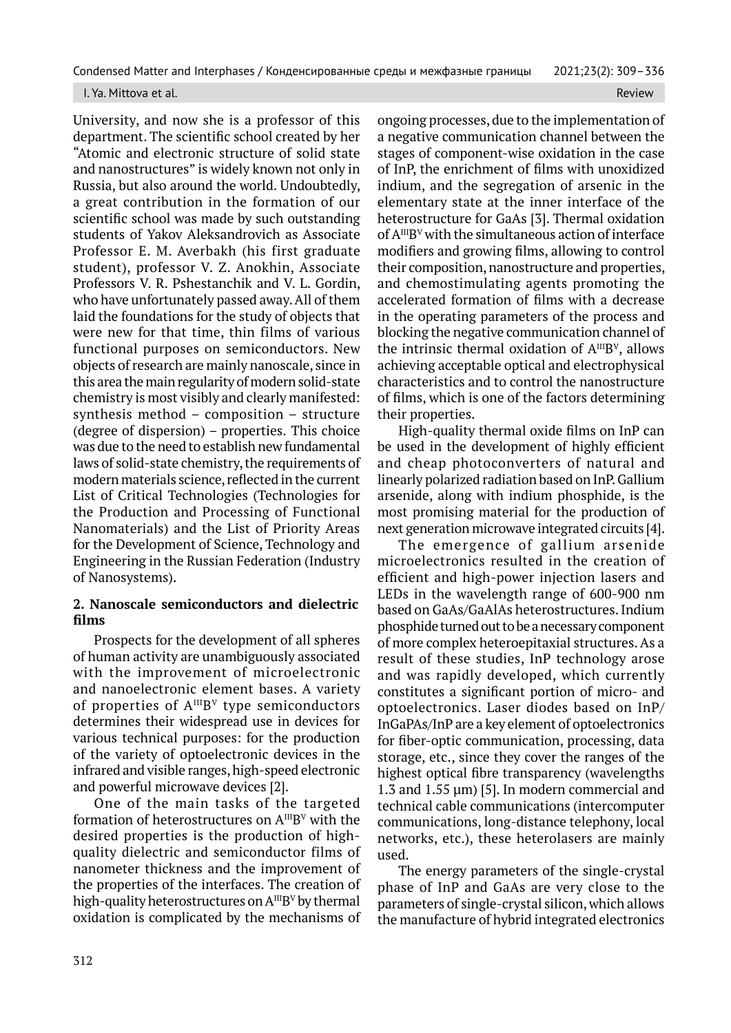#### I. Ya. Mittova et al. Review and the contract of the contract of the contract of the contract of the contract of the contract of the contract of the contract of the contract of the contract of the contract of the contract

University, and now she is a professor of this department. The scientific school created by her "Atomic and electronic structure of solid state and nanostructures" is widely known not only in Russia, but also around the world. Undoubtedly, a great contribution in the formation of our scientific school was made by such outstanding students of Yakov Aleksandrovich as Associate Professor E. M. Averbakh (his first graduate student), professor V. Z. Anokhin, Associate Professors V. R. Pshestanchik and V. L. Gordin, who have unfortunately passed away. All of them laid the foundations for the study of objects that were new for that time, thin films of various functional purposes on semiconductors. New objects of research are mainly nanoscale, since in this area the main regularity of modern solid-state chemistry is most visibly and clearly manifested: synthesis method – composition – structure (degree of dispersion) – properties. This choice was due to the need to establish new fundamental laws of solid-state chemistry, the requirements of modern materials science, reflected in the current List of Critical Technologies (Technologies for the Production and Processing of Functional Nanomaterials) and the List of Priority Areas for the Development of Science, Technology and Engineering in the Russian Federation (Industry of Nanosystems).

## **2. Nanoscale semiconductors and dielectric films**

Prospects for the development of all spheres of human activity are unambiguously associated with the improvement of microelectronic and nanoelectronic element bases. A variety of properties of  $A^{III}B^{V}$  type semiconductors determines their widespread use in devices for various technical purposes: for the production of the variety of optoelectronic devices in the infrared and visible ranges, high-speed electronic and powerful microwave devices [2].

One of the main tasks of the targeted formation of heterostructures on  $A^{III}B^{V}$  with the desired properties is the production of highquality dielectric and semiconductor films of nanometer thickness and the improvement of the properties of the interfaces. The creation of high-quality heterostructures on  $A^{III}B^{V}$  by thermal oxidation is complicated by the mechanisms of

ongoing processes, due to the implementation of a negative communication channel between the stages of component-wise oxidation in the case of InP, the enrichment of films with unoxidized indium, and the segregation of arsenic in the elementary state at the inner interface of the heterostructure for GaAs [3]. Thermal oxidation of  $A^{III}B^{V}$  with the simultaneous action of interface modifiers and growing films, allowing to control their composition, nanostructure and properties, and chemostimulating agents promoting the accelerated formation of films with a decrease in the operating parameters of the process and blocking the negative communication channel of the intrinsic thermal oxidation of  $A^{III}B^{V}$ , allows achieving acceptable optical and electrophysical characteristics and to control the nanostructure of films, which is one of the factors determining their properties.

High-quality thermal oxide films on InP can be used in the development of highly efficient and cheap photoconverters of natural and linearly polarized radiation based on InP. Gallium arsenide, along with indium phosphide, is the most promising material for the production of next generation microwave integrated circuits [4].

The emergence of gallium arsenide microelectronics resulted in the creation of efficient and high-power injection lasers and LEDs in the wavelength range of 600-900 nm based on GaAs/GaAlAs heterostructures. Indium phosphide turned out to be a necessary component of more complex heteroepitaxial structures. As a result of these studies, InP technology arose and was rapidly developed, which currently constitutes a significant portion of micro- and optoelectronics. Laser diodes based on InP/ InGaPAs/InP are a key element of optoelectronics for fiber-optic communication, processing, data storage, etc., since they cover the ranges of the highest optical fibre transparency (wavelengths 1.3 and 1.55 μm) [5]. In modern commercial and technical cable communications (intercomputer communications, long-distance telephony, local networks, etc.), these heterolasers are mainly used.

The energy parameters of the single-crystal phase of InP and GaAs are very close to the parameters of single-crystal silicon, which allows the manufacture of hybrid integrated electronics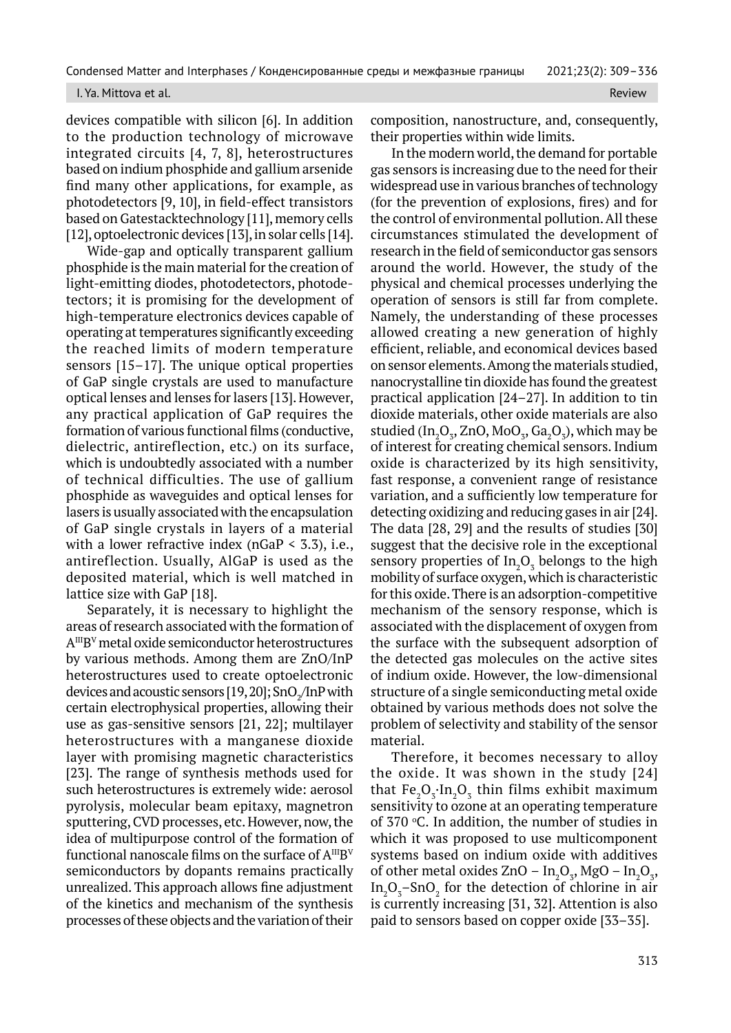#### I. Ya. Mittova et al. Review

devices compatible with silicon [6]. In addition to the production technology of microwave integrated circuits [4, 7, 8], heterostructures based on indium phosphide and gallium arsenide find many other applications, for example, as photodetectors [9, 10], in field-effect transistors based on Gatestacktechnology [11], memory cells [12], optoelectronic devices [13], in solar cells [14].

Wide-gap and optically transparent gallium phosphide is the main material for the creation of light-emitting diodes, photodetectors, photodetectors; it is promising for the development of high-temperature electronics devices capable of operating at temperatures significantly exceeding the reached limits of modern temperature sensors [15–17]. The unique optical properties of GaP single crystals are used to manufacture optical lenses and lenses for lasers [13]. However, any practical application of GaP requires the formation of various functional films (conductive, dielectric, antireflection, etc.) on its surface, which is undoubtedly associated with a number of technical difficulties. The use of gallium phosphide as waveguides and optical lenses for lasers is usually associated with the encapsulation of GaP single crystals in layers of a material with a lower refractive index ( $nGaP < 3.3$ ), i.e., antireflection. Usually, AlGaP is used as the deposited material, which is well matched in lattice size with GaP [18].

Separately, it is necessary to highlight the areas of research associated with the formation of AIIIB<sup>V</sup> metal oxide semiconductor heterostructures by various methods. Among them are ZnO/InP heterostructures used to create optoelectronic devices and acoustic sensors [19, 20]; SnO $_2$ /InP with certain electrophysical properties, allowing their use as gas-sensitive sensors [21, 22]; multilayer heterostructures with a manganese dioxide layer with promising magnetic characteristics [23]. The range of synthesis methods used for such heterostructures is extremely wide: aerosol pyrolysis, molecular beam epitaxy, magnetron sputtering, CVD processes, etc. However, now, the idea of multipurpose control of the formation of functional nanoscale films on the surface of  $A^{III}B^{V}$ semiconductors by dopants remains practically unrealized. This approach allows fine adjustment of the kinetics and mechanism of the synthesis processes of these objects and the variation of their

composition, nanostructure, and, consequently, their properties within wide limits.

In the modern world, the demand for portable gas sensors is increasing due to the need for their widespread use in various branches of technology (for the prevention of explosions, fires) and for the control of environmental pollution. All these circumstances stimulated the development of research in the field of semiconductor gas sensors around the world. However, the study of the physical and chemical processes underlying the operation of sensors is still far from complete. Namely, the understanding of these processes allowed creating a new generation of highly efficient, reliable, and economical devices based on sensor elements. Among the materials studied, nanocrystalline tin dioxide has found the greatest practical application [24–27]. In addition to tin dioxide materials, other oxide materials are also studied (In $_{2}O_{3}$ , ZnO, MoO $_{3}$ , Ga $_{2}O_{3}$ ), which may be of interest for creating chemical sensors. Indium oxide is characterized by its high sensitivity, fast response, a convenient range of resistance variation, and a sufficiently low temperature for detecting oxidizing and reducing gases in air [24]. The data [28, 29] and the results of studies [30] suggest that the decisive role in the exceptional sensory properties of  $In_2O_3$  belongs to the high mobility of surface oxygen, which is characteristic for this oxide. There is an adsorption-competitive mechanism of the sensory response, which is associated with the displacement of oxygen from the surface with the subsequent adsorption of the detected gas molecules on the active sites of indium oxide. However, the low-dimensional structure of a single semiconducting metal oxide obtained by various methods does not solve the problem of selectivity and stability of the sensor material.

Therefore, it becomes necessary to alloy the oxide. It was shown in the study [24] that  $Fe<sub>2</sub>O<sub>3</sub> \cdot In<sub>2</sub>O<sub>3</sub>$  thin films exhibit maximum sensitivity to ozone at an operating temperature of  $370$  °C. In addition, the number of studies in which it was proposed to use multicomponent systems based on indium oxide with additives of other metal oxides  $ZnO - In_2O_3$ , MgO –  $In_2O_3$ ,  $In_2O_3$ –SnO<sub>2</sub> for the detection of chlorine in air is currently increasing [31, 32]. Attention is also paid to sensors based on copper oxide [33–35].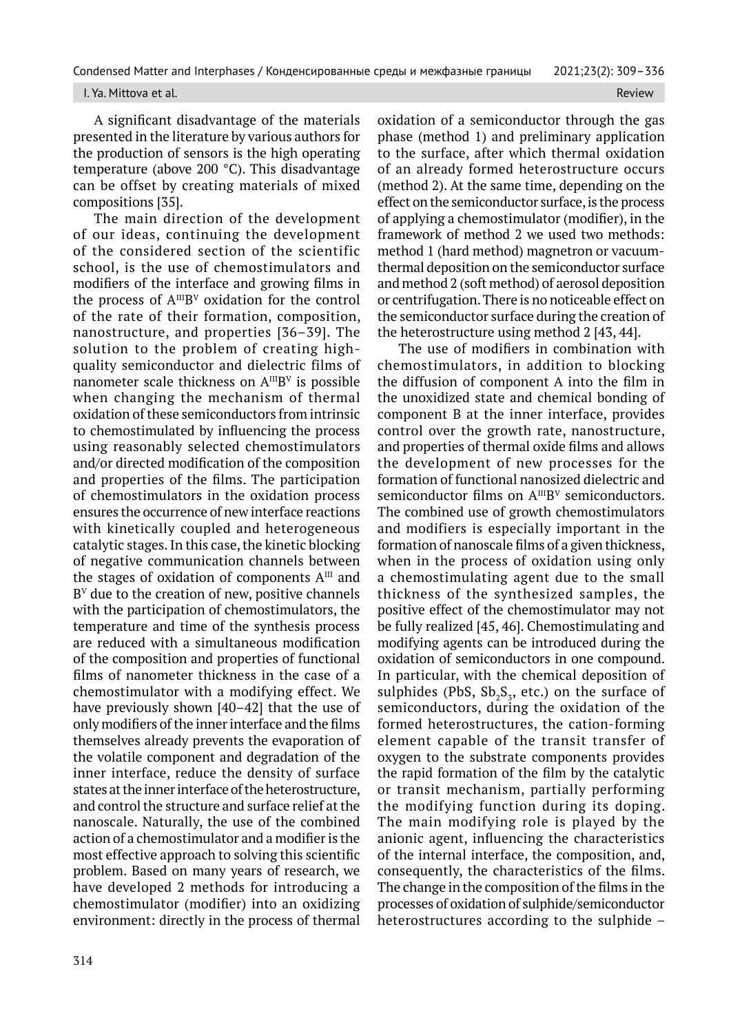#### I. Ya. Mittova et al. Review All and the control of the control of the control of the control of the control of the control of the control of the control of the control of the control of the control of the control of the c

A significant disadvantage of the materials presented in the literature by various authors for the production of sensors is the high operating temperature (above 200 °C). This disadvantage can be offset by creating materials of mixed compositions [35].

The main direction of the development of our ideas, continuing the development of the considered section of the scientific school, is the use of chemostimulators and modifiers of the interface and growing films in the process of  $A^{III}B^{V}$  oxidation for the control of the rate of their formation, composition, nanostructure, and properties [36–39]. The solution to the problem of creating highquality semiconductor and dielectric films of nanometer scale thickness on  $A^{III}B^{V}$  is possible when changing the mechanism of thermal oxidation of these semiconductors from intrinsic to chemostimulated by influencing the process using reasonably selected chemostimulators and/or directed modification of the composition and properties of the films. The participation of chemostimulators in the oxidation process ensures the occurrence of new interface reactions with kinetically coupled and heterogeneous catalytic stages. In this case, the kinetic blocking of negative communication channels between the stages of oxidation of components  $A^{III}$  and  $B<sup>V</sup>$  due to the creation of new, positive channels with the participation of chemostimulators, the temperature and time of the synthesis process are reduced with a simultaneous modification of the composition and properties of functional films of nanometer thickness in the case of a chemostimulator with a modifying effect. We have previously shown [40–42] that the use of only modifiers of the inner interface and the films themselves already prevents the evaporation of the volatile component and degradation of the inner interface, reduce the density of surface states at the inner interface of the heterostructure, and control the structure and surface relief at the nanoscale. Naturally, the use of the combined action of a chemostimulator and a modifier is the most effective approach to solving this scientific problem. Based on many years of research, we have developed 2 methods for introducing a chemostimulator (modifier) into an oxidizing environment: directly in the process of thermal oxidation of a semiconductor through the gas phase (method 1) and preliminary application to the surface, after which thermal oxidation of an already formed heterostructure occurs (method 2). At the same time, depending on the effect on the semiconductor surface, is the process of applying a chemostimulator (modifier), in the framework of method 2 we used two methods: method 1 (hard method) magnetron or vacuumthermal deposition on the semiconductor surface and method 2 (soft method) of aerosol deposition or centrifugation. There is no noticeable effect on the semiconductor surface during the creation of the heterostructure using method 2 [43, 44].

The use of modifiers in combination with chemostimulators, in addition to blocking the diffusion of component A into the film in the unoxidized state and chemical bonding of component B at the inner interface, provides control over the growth rate, nanostructure, and properties of thermal oxide films and allows the development of new processes for the formation of functional nanosized dielectric and semiconductor films on A<sup>III</sup>B<sup>V</sup> semiconductors. The combined use of growth chemostimulators and modifiers is especially important in the formation of nanoscale films of a given thickness, when in the process of oxidation using only a chemostimulating agent due to the small thickness of the synthesized samples, the positive effect of the chemostimulator may not be fully realized [45, 46]. Chemostimulating and modifying agents can be introduced during the oxidation of semiconductors in one compound. In particular, with the chemical deposition of sulphides (PbS,  $\mathrm{Sb_{2}S_{3}}$ , etc.) on the surface of semiconductors, during the oxidation of the formed heterostructures, the cation-forming element capable of the transit transfer of oxygen to the substrate components provides the rapid formation of the film by the catalytic or transit mechanism, partially performing the modifying function during its doping. The main modifying role is played by the anionic agent, influencing the characteristics of the internal interface, the composition, and, consequently, the characteristics of the films. The change in the composition of the films in the processes of oxidation of sulphide/semiconductor heterostructures according to the sulphide –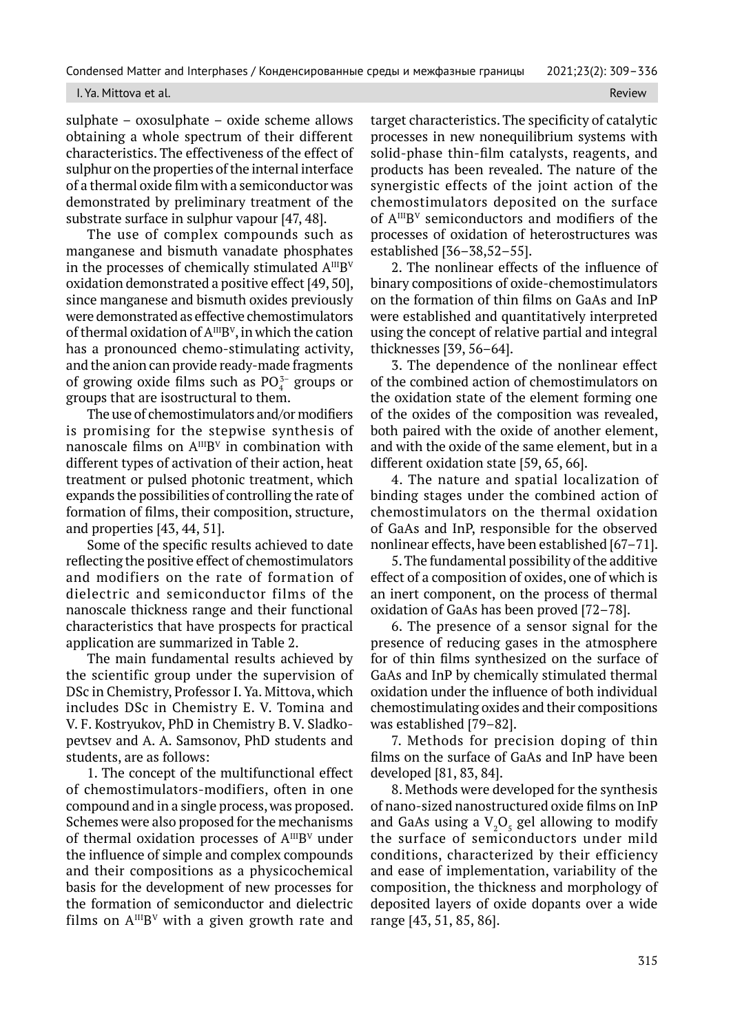#### I. Ya. Mittova et al. Review

sulphate – oxosulphate – oxide scheme allows obtaining a whole spectrum of their different characteristics. The effectiveness of the effect of sulphur on the properties of the internal interface of a thermal oxide film with a semiconductor was demonstrated by preliminary treatment of the substrate surface in sulphur vapour [47, 48].

The use of complex compounds such as manganese and bismuth vanadate phosphates in the processes of chemically stimulated  $A^{III}B^{V}$ oxidation demonstrated a positive effect [49, 50], since manganese and bismuth oxides previously were demonstrated as effective chemostimulators of thermal oxidation of  $A^{III}B^{V}$ , in which the cation has a pronounced chemo-stimulating activity, and the anion can provide ready-made fragments of growing oxide films such as  $PO_4^{3-}$  groups or groups that are isostructural to them.

The use of chemostimulators and/or modifiers is promising for the stepwise synthesis of nanoscale films on  $A^{III}B^{V}$  in combination with different types of activation of their action, heat treatment or pulsed photonic treatment, which expands the possibilities of controlling the rate of formation of films, their composition, structure, and properties [43, 44, 51].

Some of the specific results achieved to date reflecting the positive effect of chemostimulators and modifiers on the rate of formation of dielectric and semiconductor films of the nanoscale thickness range and their functional characteristics that have prospects for practical application are summarized in Table 2.

The main fundamental results achieved by the scientific group under the supervision of DSc in Chemistry, Professor I. Ya. Mittova, which includes DSc in Chemistry E. V. Tomina and V. F. Kostryukov, PhD in Chemistry B. V. Sladkopevtsev and A. A. Samsonov, PhD students and students, are as follows:

1. The concept of the multifunctional effect of chemostimulators-modifiers, often in one compound and in a single process, was proposed. Schemes were also proposed for the mechanisms of thermal oxidation processes of  $A^{III}B^{V}$  under the influence of simple and complex compounds and their compositions as a physicochemical basis for the development of new processes for the formation of semiconductor and dielectric films on  $A^{III}B^{V}$  with a given growth rate and

target characteristics. The specificity of catalytic processes in new nonequilibrium systems with solid-phase thin-film catalysts, reagents, and products has been revealed. The nature of the synergistic effects of the joint action of the chemostimulators deposited on the surface of AIIIB<sup>V</sup> semiconductors and modifiers of the processes of oxidation of heterostructures was established [36–38,52–55].

2. The nonlinear effects of the influence of binary compositions of oxide-chemostimulators on the formation of thin films on GaAs and InP were established and quantitatively interpreted using the concept of relative partial and integral thicknesses [39, 56–64].

3. The dependence of the nonlinear effect of the combined action of chemostimulators on the oxidation state of the element forming one of the oxides of the composition was revealed, both paired with the oxide of another element, and with the oxide of the same element, but in a different oxidation state [59, 65, 66].

4. The nature and spatial localization of binding stages under the combined action of chemostimulators on the thermal oxidation of GaAs and InP, responsible for the observed nonlinear effects, have been established [67–71].

5. The fundamental possibility of the additive effect of a composition of oxides, one of which is an inert component, on the process of thermal oxidation of GaAs has been proved [72–78].

6. The presence of a sensor signal for the presence of reducing gases in the atmosphere for of thin films synthesized on the surface of GaAs and InP by chemically stimulated thermal oxidation under the influence of both individual chemostimulating oxides and their compositions was established [79–82].

7. Methods for precision doping of thin films on the surface of GaAs and InP have been developed [81, 83, 84].

8. Methods were developed for the synthesis of nano-sized nanostructured oxide films on InP and GaAs using a  $\mathrm{V}_{\scriptscriptstyle{2}}\mathrm{O}_{\scriptscriptstyle{5}}$  gel allowing to modify the surface of semiconductors under mild conditions, characterized by their efficiency and ease of implementation, variability of the composition, the thickness and morphology of deposited layers of oxide dopants over a wide range [43, 51, 85, 86].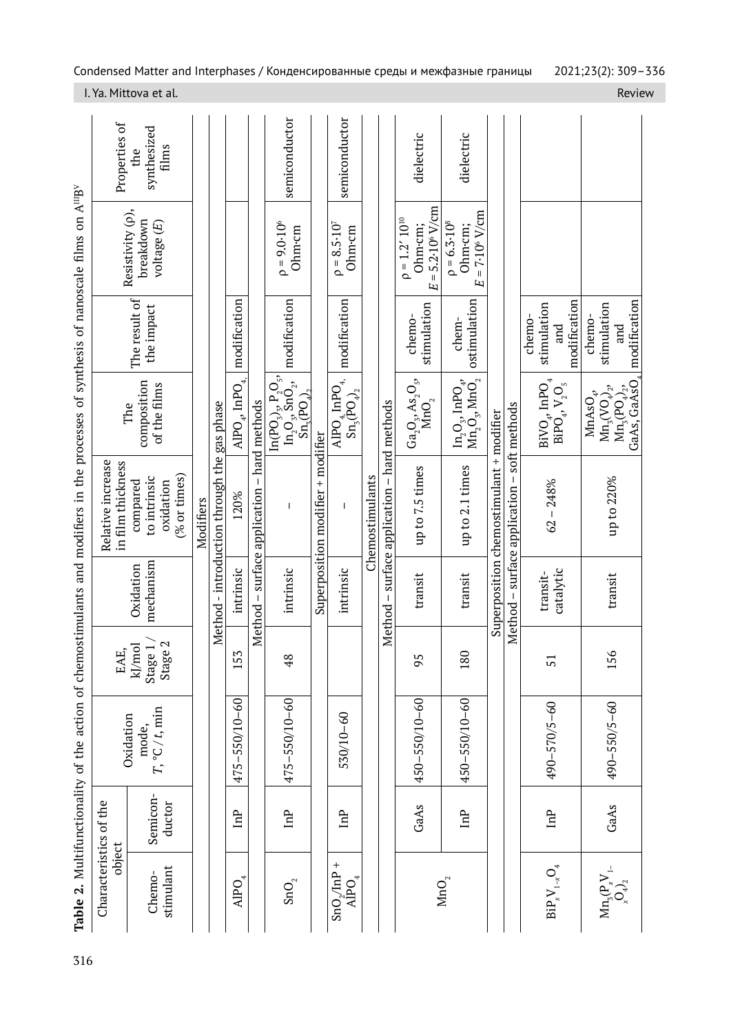| 316 |                                                                                  |                    |                          |                                     |                        | Table 2. Multifunctionality of the action of chemostimulants and modifiers in the processes of synthesis of nanoscale films on A <sup>ungv</sup> |                                                                                                          |                                              |                                                                 |                                              |
|-----|----------------------------------------------------------------------------------|--------------------|--------------------------|-------------------------------------|------------------------|--------------------------------------------------------------------------------------------------------------------------------------------------|----------------------------------------------------------------------------------------------------------|----------------------------------------------|-----------------------------------------------------------------|----------------------------------------------|
|     | Characteristics of the<br>object                                                 |                    | Oxidation                | EAE,                                |                        | Relative increase<br>in film thickness                                                                                                           | The                                                                                                      |                                              |                                                                 | Properties of                                |
|     | stimulant<br>Chemo-                                                              | Semicon-<br>ductor | $T, °C/t$ , min<br>mode, | Stage $1\,/\,$<br>Stage 2<br>kJ/mol | mechanism<br>Oxidation | % or times)<br>to intrinsic<br>compared<br>oxidation                                                                                             | composition<br>of the films                                                                              | The result of<br>the impact                  | Resistivity (p),<br>breakdown<br>voltage (E)                    | synthesized<br>$\operatorname{films}$<br>the |
|     |                                                                                  |                    |                          |                                     |                        | Modifiers                                                                                                                                        |                                                                                                          |                                              |                                                                 |                                              |
|     |                                                                                  |                    |                          |                                     |                        | Method - introduction through the gas phase                                                                                                      |                                                                                                          |                                              |                                                                 |                                              |
|     | $\mathsf{A}\mathsf{I}\mathsf{PO}_4$                                              | <b>ful</b>         | $475 - 550/10 - 60$      | $\mathsf{M}$<br>$\overline{15}$     | intrinsic              | 120%                                                                                                                                             | $\mathrm{APO}_4$ , InPO $_{4_\mathrm{A}}$                                                                | modification                                 |                                                                 |                                              |
|     |                                                                                  |                    |                          |                                     |                        | Method - surface application - hard methods                                                                                                      |                                                                                                          |                                              |                                                                 |                                              |
|     | $\mathrm{SnO}_{\mathbf{2}}$                                                      | mP                 | $475 - 550/10 - 60$      | $\frac{8}{3}$                       | intrinsic              |                                                                                                                                                  | $\begin{bmatrix} \ln(PO_2)_3, P_2O_5, \ \ln_2O_3, \ \text{SnO}_2, \ \text{Sn}_3(PO_4), \end{bmatrix}$    | modification                                 | $\rho = 9.0 \cdot 10^6$<br>Ohm-cm                               | semiconductor                                |
|     |                                                                                  |                    |                          |                                     |                        | Superposition modifier + modifier                                                                                                                |                                                                                                          |                                              |                                                                 |                                              |
|     | $SnO_{\gamma}InP +$<br>$\mathring{\mathsf{A}\text{P}\text{O}}_4$                 | Ê                  | 530/10-60                |                                     | intrinsic              |                                                                                                                                                  | $\mathrm{APO}_{4}\,\mathrm{InPO}_{4}, \ \mathrm{Sn}_{3}(\mathrm{PO}_{4})_{2}$                            | modification                                 | $\rho = 8.5 \cdot 10^{7}$<br>Ohm-cm                             | semiconductor                                |
|     |                                                                                  |                    |                          |                                     |                        | Chemostimulants                                                                                                                                  |                                                                                                          |                                              |                                                                 |                                              |
|     |                                                                                  |                    |                          |                                     | Method-                | surface application - hard methods                                                                                                               |                                                                                                          |                                              |                                                                 |                                              |
|     |                                                                                  | GaAs               | 450-550/10-60            | 95                                  | transit                | up to 7.5 times                                                                                                                                  | $\frac{\text{Ga}_2\text{O}_3,\text{As}_2\text{O}_5,\text{Mo}_2}{\text{MnO}_2}$                           | stimulation<br>chemo-                        | $E = 5.2 \cdot 10^{6}$ V/cm<br>$\rho = 1.2' 10^{10}$<br>Ohm-cm; | dielectric                                   |
|     | MnO <sub>2</sub>                                                                 | $\ln P$            | $450 - 550/10 - 60$      | $\overline{18}$                     | transit                | up to 2.1 times                                                                                                                                  | $\begin{array}{l} \rm{In}_2\rm{O}_3,\, \rm{InPO}_4,\ \rm{MnO}_2,\ \rm{MnO}_2 \end{array}$                | ostimulation<br>chem-                        | $= 7.106$ V/cm<br>$\rho = 6.3 \cdot 10^8$<br>Ohm-cm;<br>E       | dielectric                                   |
|     |                                                                                  |                    |                          |                                     |                        | Superposition chemostimulant + modifier                                                                                                          |                                                                                                          |                                              |                                                                 |                                              |
|     |                                                                                  |                    |                          |                                     |                        | Method – surface application – soft methods                                                                                                      |                                                                                                          |                                              |                                                                 |                                              |
|     | $\text{Bip}\, \text{V}_{1-x} \text{O}_4$                                         | hnP                | 490-570/5-60             | 51                                  | catalytic<br>transit-  | $62 - 248%$                                                                                                                                      | $\text{BiVO}_4, \text{InPO}_4 \\ \text{BiPO}_4, \text{V}_2\text{O}_5$                                    | modification<br>stimulation<br>chemo-<br>and |                                                                 |                                              |
|     | $\mathrm{Mn}_3(\mathrm{P}_{_{\!\mathcal{N}}}^{\mathbf{V}}\mathrm{V}_{1\text{-}}$ | GaAs               | $490 - 550/5 - 60$       | 156                                 | transit                | up to 220%                                                                                                                                       | $Mn_3(PO_4)_3$ , and GaAs, GaAsO <sub>4</sub> modification<br>$\text{Mn}_3(\text{VO}_4)_2$<br>$MnAsO4$ , | stimulation<br>chemo-                        |                                                                 |                                              |
|     |                                                                                  |                    |                          |                                     |                        |                                                                                                                                                  |                                                                                                          |                                              |                                                                 |                                              |

I. Ya. Mittova et al. Review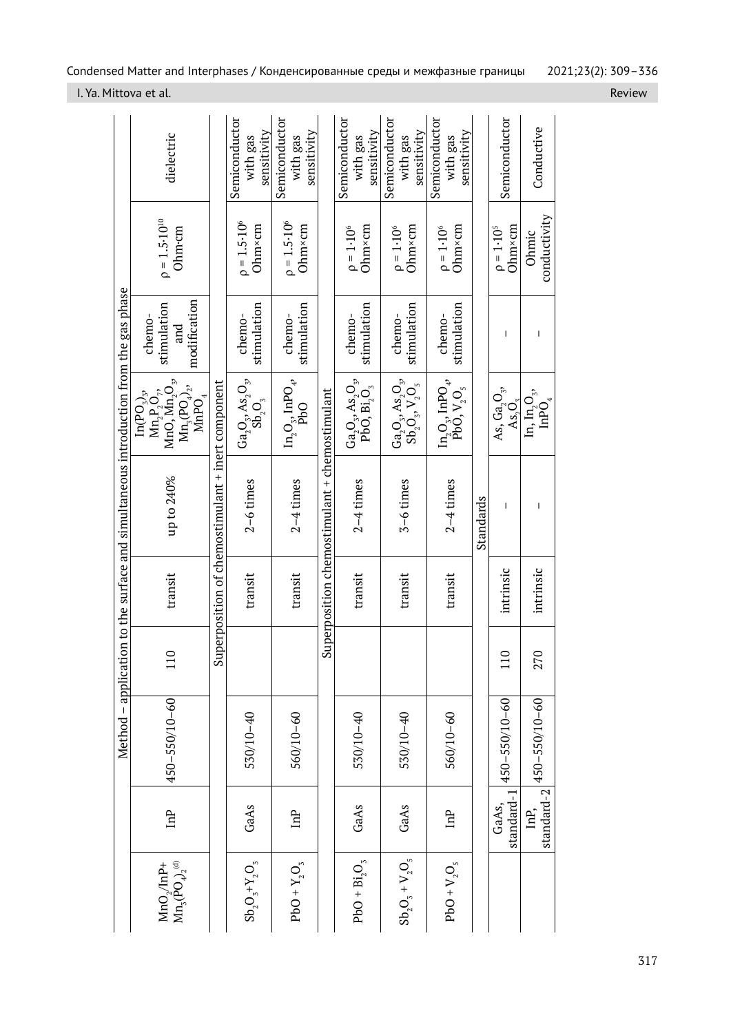|                                                                                      | dielectric                                                                                                                                                                                      |                                                   | Semiconductor<br>sensitivity<br>with gas                                    | Semiconductor<br>sensitivity<br>with gas    |                                               | Semiconductor<br>sensitivity<br>with gas                                                            | Semiconductor<br>sensitivity<br>with gas                                                         | Semiconductor<br>sensitivity<br>with gas                                                    |           | Semiconductor                                  | Conductive                                                     |
|--------------------------------------------------------------------------------------|-------------------------------------------------------------------------------------------------------------------------------------------------------------------------------------------------|---------------------------------------------------|-----------------------------------------------------------------------------|---------------------------------------------|-----------------------------------------------|-----------------------------------------------------------------------------------------------------|--------------------------------------------------------------------------------------------------|---------------------------------------------------------------------------------------------|-----------|------------------------------------------------|----------------------------------------------------------------|
|                                                                                      | $p = 1.5 \cdot 10^{10}$<br>Ohm-cm                                                                                                                                                               |                                                   | $p = 1.5 \cdot 10^6$<br>Ohm×cm                                              | $p = 1.5 \cdot 10^6$<br>Ohm×cm              |                                               | Ohm×cm<br>$\rho = 1.10^6$                                                                           | Ohm×cm<br>$\rho = 1.10^6$                                                                        | Ohm×cm<br>$\rho = 1.10^6$                                                                   |           | $Ohm \times cm$<br>$\rho = 1.10^{5}$           | conductivity<br>Ohmic                                          |
|                                                                                      | modification<br>stimulation<br>chemo-<br>and                                                                                                                                                    |                                                   | stimulation<br>chemo-                                                       | stimulation<br>chemo-                       |                                               | stimulation<br>chemo-                                                                               | stimulation<br>chemo-                                                                            | stimulation<br>chemo-                                                                       |           | T                                              | I                                                              |
|                                                                                      | $\mathrm{Mn}_2\mathrm{P}_2\mathrm{O}_{7}, \ \mathrm{Mn}_2\mathrm{O}_{3},$<br>$\mathrm{Mn}_x(\mathrm{PO}_4)_2,$<br>$\mathop{\rm Im}\nolimits(\mathop{\rm PO}\nolimits_3)_3,$<br>MnP <sub>O</sub> |                                                   | $\frac{\text{Ga}_2\text{O}_3,\text{As}_2\text{O}_3}{\text{Sb}_2\text{O}_3}$ | $\ln_2\!\mathrm{O}_3, \mathrm{InPO}_4,$ pbO |                                               | $\frac{\text{Ga}_2\text{O}_3,\text{As}_2\text{O}_3,\text{PbO}_3}{\text{PbO},\text{Bi}_2\text{O}_3}$ | $\mathrm{Ga_{2}O_{3}^{}}, \mathrm{As_{2}O_{3}^{}}, \ \mathrm{Sb_{2}^{}}, \mathrm{V_{2}O_{5}^{}}$ | $\begin{array}{c} \rm{In}_2\rm{O}_3,\,\rm{InPO}_4,\\ \rm{PbO},\rm{V}_2\rm{O}_5 \end{array}$ |           | As, $Ga_2O_3$ ,<br>$\text{As}_{2}\text{O}_{3}$ | In, $In_{2}O_{3}$<br>$\mathrm{In}\mathrm{P}\bar{\mathrm{O}}_4$ |
| Method – application to the surface and simultaneous introduction from the gas phase | up to 240%                                                                                                                                                                                      | Superposition of chemostimulant + inert component | $2-6$ times                                                                 | $2-4$ times                                 | Superposition chemostimulant + chemostimulant | $2-4$ times                                                                                         | $5-6$ times                                                                                      | $2-4$ times                                                                                 | Standards | ı                                              |                                                                |
|                                                                                      | transit                                                                                                                                                                                         |                                                   | transit                                                                     | transit                                     |                                               | transit                                                                                             | transit                                                                                          | transit                                                                                     |           | intrinsic                                      | intrinsic                                                      |
|                                                                                      | $\overline{10}$                                                                                                                                                                                 |                                                   |                                                                             |                                             |                                               |                                                                                                     |                                                                                                  |                                                                                             |           | $\overline{10}$                                | 270                                                            |
|                                                                                      | 450-550/10-60                                                                                                                                                                                   |                                                   | 530/10-40                                                                   | 560/10-60                                   |                                               | 530/10-40                                                                                           | 530/10-40                                                                                        | 560/10-60                                                                                   |           | $450 - 550/10 - 60$                            | 450-550/10-60                                                  |
|                                                                                      | <b>ful</b>                                                                                                                                                                                      |                                                   | GaAs                                                                        | Ê                                           |                                               | GaAs                                                                                                | GaAs                                                                                             | Ê                                                                                           |           | standard-1<br>GaAs,                            | standard-2<br>InP,                                             |
|                                                                                      | $Mn_3(\overline{P}O_4)^{(d)}$<br>$MnO_2/nP+$                                                                                                                                                    |                                                   | $Sb_2O_3+Y_2O_3$                                                            | $PbO + Y_2O_3$                              |                                               | $PbO + Bi2O3$                                                                                       | $Sb_2O_3 + V_2O_5$                                                                               | $PbO + V2O5$                                                                                |           |                                                |                                                                |

I. Ya. Mittova et al. Review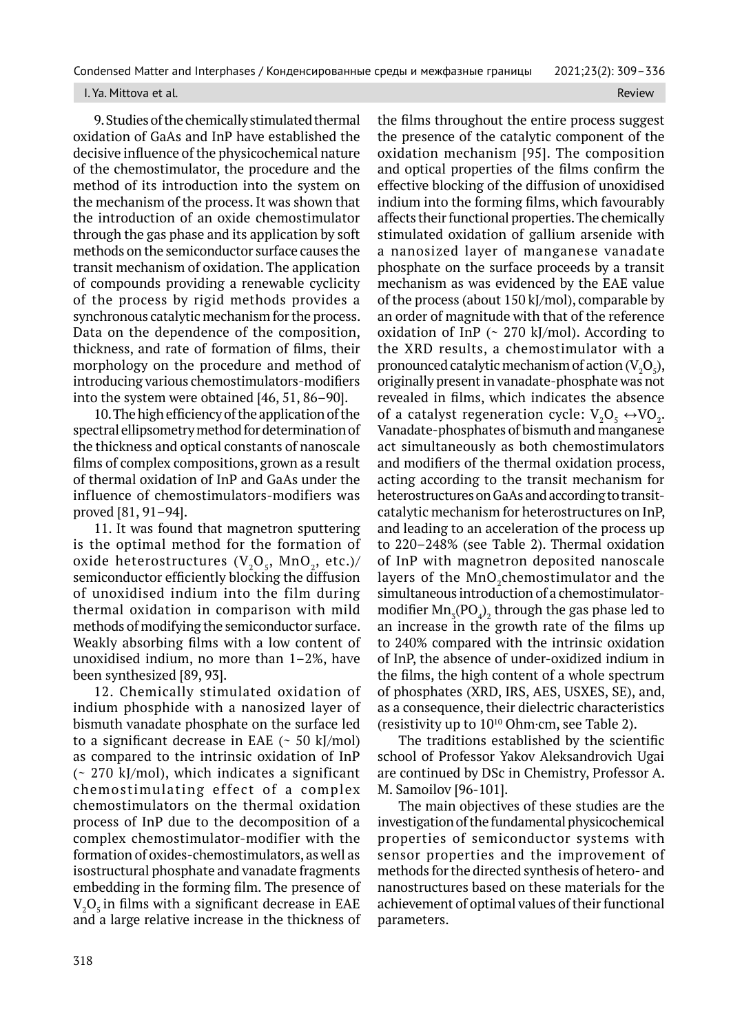#### I. Ya. Mittova et al. Review

9. Studies of the chemically stimulated thermal oxidation of GaAs and InP have established the decisive influence of the physicochemical nature of the chemostimulator, the procedure and the method of its introduction into the system on the mechanism of the process. It was shown that the introduction of an oxide chemostimulator through the gas phase and its application by soft methods on the semiconductor surface causes the transit mechanism of oxidation. The application of compounds providing a renewable cyclicity of the process by rigid methods provides a synchronous catalytic mechanism for the process. Data on the dependence of the composition, thickness, and rate of formation of films, their morphology on the procedure and method of introducing various chemostimulators-modifiers into the system were obtained [46, 51, 86–90].

10. The high efficiency of the application of the spectral ellipsometry method for determination of the thickness and optical constants of nanoscale films of complex compositions, grown as a result of thermal oxidation of InP and GaAs under the influence of chemostimulators-modifiers was proved [81, 91–94].

11. It was found that magnetron sputtering is the optimal method for the formation of oxide heterostructures  $(V_2O_5, MnO_2, etc.)/$ semiconductor efficiently blocking the diffusion of unoxidised indium into the film during thermal oxidation in comparison with mild methods of modifying the semiconductor surface. Weakly absorbing films with a low content of unoxidised indium, no more than 1–2%, have been synthesized [89, 93].

12. Chemically stimulated oxidation of indium phosphide with a nanosized layer of bismuth vanadate phosphate on the surface led to a significant decrease in EAE  $($   $\sim$  50 kJ/mol) as compared to the intrinsic oxidation of InP (~ 270 kJ/mol), which indicates a significant chemostimulating effect of a complex chemostimulators on the thermal oxidation process of InP due to the decomposition of a complex chemostimulator-modifier with the formation of oxides-chemostimulators, as well as isostructural phosphate and vanadate fragments embedding in the forming film. The presence of  $\rm V_2O_5$  in films with a significant decrease in EAE and a large relative increase in the thickness of

the films throughout the entire process suggest the presence of the catalytic component of the oxidation mechanism [95]. The composition and optical properties of the films confirm the effective blocking of the diffusion of unoxidised indium into the forming films, which favourably affects their functional properties. The chemically stimulated oxidation of gallium arsenide with a nanosized layer of manganese vanadate phosphate on the surface proceeds by a transit mechanism as was evidenced by the EAE value of the process (about 150 kJ/mol), comparable by an order of magnitude with that of the reference oxidation of InP  $($   $\sim$  270 kJ/mol). According to the XRD results, a chemostimulator with a pronounced catalytic mechanism of action ( $V_2O_5$ ), originally present in vanadate-phosphate was not revealed in films, which indicates the absence of a catalyst regeneration cycle:  $V_2O_5 \leftrightarrow VO_2$ . Vanadate-phosphates of bismuth and manganese act simultaneously as both chemostimulators and modifiers of the thermal oxidation process, acting according to the transit mechanism for heterostructures on GaAs and according to transitcatalytic mechanism for heterostructures on InP, and leading to an acceleration of the process up to 220–248% (see Table 2). Thermal oxidation of InP with magnetron deposited nanoscale layers of the  $\rm MnO_2$ chemostimulator and the simultaneous introduction of a chemostimulatormodifier  $\text{Mn}_3(\text{PO}_4)_2$  through the gas phase led to an increase in the growth rate of the films up to 240% compared with the intrinsic oxidation of InP, the absence of under-oxidized indium in the films, the high content of a whole spectrum of phosphates (XRD, IRS, AES, USXES, SE), and, as a consequence, their dielectric characteristics (resistivity up to  $10^{10}$  Ohm $\cdot$ cm, see Table 2).

The traditions established by the scientific school of Professor Yakov Aleksandrovich Ugai are continued by DSc in Chemistry, Professor A. M. Samoilov [96-101].

The main objectives of these studies are the investigation of the fundamental physicochemical properties of semiconductor systems with sensor properties and the improvement of methods for the directed synthesis of hetero- and nanostructures based on these materials for the achievement of optimal values of their functional parameters.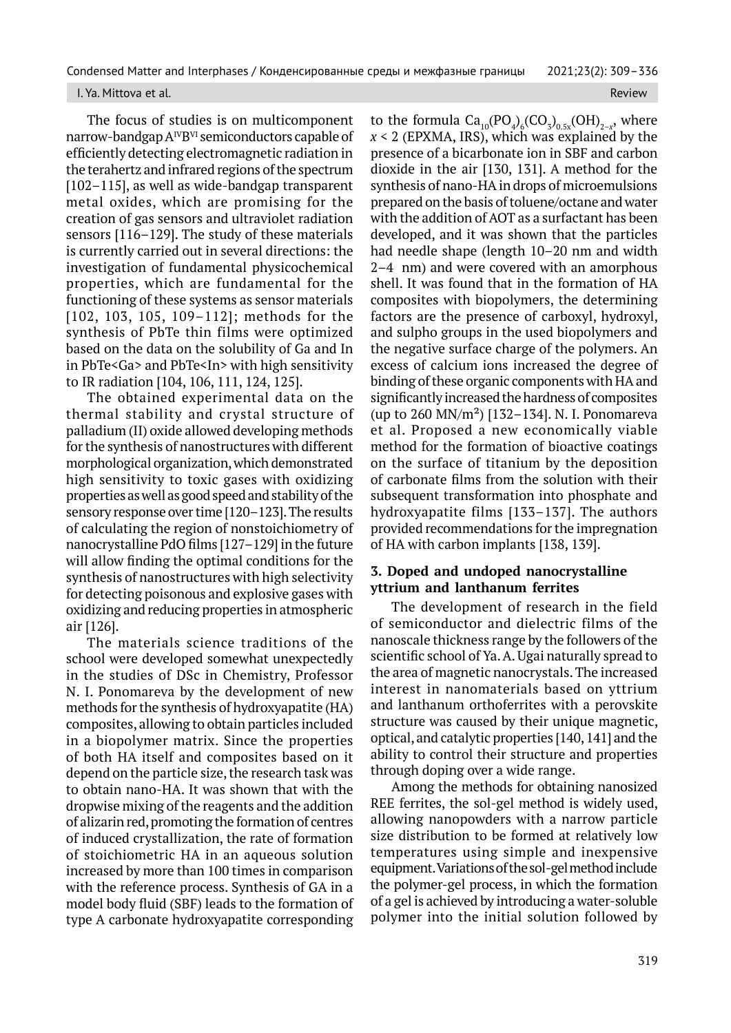## I. Ya. Mittova et al. Review and the control of the control of the control of the control of the control of the control of the control of the control of the control of the control of the control of the control of the contr

The focus of studies is on multicomponent narrow-bandgap  $A^{IV}B^{VI}$  semiconductors capable of efficiently detecting electromagnetic radiation in the terahertz and infrared regions of the spectrum [102–115], as well as wide-bandgap transparent metal oxides, which are promising for the creation of gas sensors and ultraviolet radiation sensors [116–129]. The study of these materials is currently carried out in several directions: the investigation of fundamental physicochemical properties, which are fundamental for the functioning of these systems as sensor materials [102, 103, 105, 109–112]; methods for the synthesis of PbTe thin films were optimized based on the data on the solubility of Ga and In in PbTe<Ga> and PbTe<In> with high sensitivity to IR radiation [104, 106, 111, 124, 125].

The obtained experimental data on the thermal stability and crystal structure of palladium (II) oxide allowed developing methods for the synthesis of nanostructures with different morphological organization, which demonstrated high sensitivity to toxic gases with oxidizing properties as well as good speed and stability of the sensory response over time [120–123]. The results of calculating the region of nonstoichiometry of nanocrystalline PdO films [127–129] in the future will allow finding the optimal conditions for the synthesis of nanostructures with high selectivity for detecting poisonous and explosive gases with oxidizing and reducing properties in atmospheric air [126].

The materials science traditions of the school were developed somewhat unexpectedly in the studies of DSc in Chemistry, Professor N. I. Ponomareva by the development of new methods for the synthesis of hydroxyapatite (HA) composites, allowing to obtain particles included in a biopolymer matrix. Since the properties of both HA itself and composites based on it depend on the particle size, the research task was to obtain nano-HA. It was shown that with the dropwise mixing of the reagents and the addition of alizarin red, promoting the formation of centres of induced crystallization, the rate of formation of stoichiometric HA in an aqueous solution increased by more than 100 times in comparison with the reference process. Synthesis of GA in a model body fluid (SBF) leads to the formation of type A carbonate hydroxyapatite corresponding to the formula  $\text{Ca}_{10}(\text{PO}_4)_{6}(\text{CO}_3)_{0.5x}(\text{OH})_{2-x}$ , where *x* < 2 (EPXMA, IRS), which was explained by the presence of a bicarbonate ion in SBF and carbon dioxide in the air [130, 131]. A method for the synthesis of nano-HA in drops of microemulsions prepared on the basis of toluene/octane and water with the addition of AOT as a surfactant has been developed, and it was shown that the particles had needle shape (length 10–20 nm and width 2–4 nm) and were covered with an amorphous shell. It was found that in the formation of HA composites with biopolymers, the determining factors are the presence of carboxyl, hydroxyl, and sulpho groups in the used biopolymers and the negative surface charge of the polymers. An excess of calcium ions increased the degree of binding of these organic components with HA and significantly increased the hardness of composites (up to 260 MN/m²) [132–134]. N. I. Ponomareva et al. Proposed a new economically viable method for the formation of bioactive coatings on the surface of titanium by the deposition of carbonate films from the solution with their subsequent transformation into phosphate and hydroxyapatite films [133–137]. The authors provided recommendations for the impregnation of HA with carbon implants [138, 139].

## **3. Doped and undoped nanocrystalline yttrium and lanthanum ferrites**

The development of research in the field of semiconductor and dielectric films of the nanoscale thickness range by the followers of the scientific school of Ya. A. Ugai naturally spread to the area of magnetic nanocrystals. The increased interest in nanomaterials based on yttrium and lanthanum orthoferrites with a perovskite structure was caused by their unique magnetic, optical, and catalytic properties [140, 141] and the ability to control their structure and properties through doping over a wide range.

Among the methods for obtaining nanosized REE ferrites, the sol-gel method is widely used, allowing nanopowders with a narrow particle size distribution to be formed at relatively low temperatures using simple and inexpensive equipment. Variations of the sol-gel method include the polymer-gel process, in which the formation of a gel is achieved by introducing a water-soluble polymer into the initial solution followed by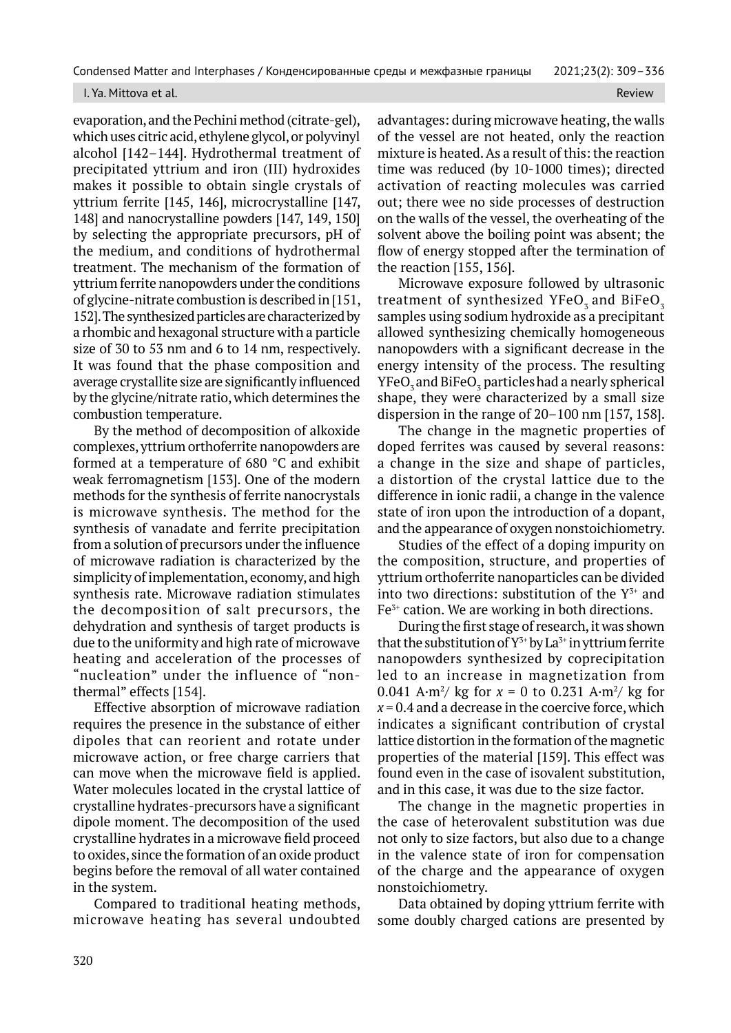#### I. Ya. Mittova et al. Review All and the control of the control of the control of the control of the control of the control of the control of the control of the control of the control of the control of the control of the c

evaporation, and the Pechini method (citrate-gel), which uses citric acid, ethylene glycol, or polyvinyl alcohol [142–144]. Hydrothermal treatment of precipitated yttrium and iron (III) hydroxides makes it possible to obtain single crystals of yttrium ferrite [145, 146], microcrystalline [147, 148] and nanocrystalline powders [147, 149, 150] by selecting the appropriate precursors, pH of the medium, and conditions of hydrothermal treatment. The mechanism of the formation of yttrium ferrite nanopowders under the conditions of glycine-nitrate combustion is described in [151, 152]. The synthesized particles are characterized by a rhombic and hexagonal structure with a particle size of 30 to 53 nm and 6 to 14 nm, respectively. It was found that the phase composition and average crystallite size are significantly influenced by the glycine/nitrate ratio, which determines the combustion temperature.

By the method of decomposition of alkoxide complexes, yttrium orthoferrite nanopowders are formed at a temperature of 680 °C and exhibit weak ferromagnetism [153]. One of the modern methods for the synthesis of ferrite nanocrystals is microwave synthesis. The method for the synthesis of vanadate and ferrite precipitation from a solution of precursors under the influence of microwave radiation is characterized by the simplicity of implementation, economy, and high synthesis rate. Microwave radiation stimulates the decomposition of salt precursors, the dehydration and synthesis of target products is due to the uniformity and high rate of microwave heating and acceleration of the processes of "nucleation" under the influence of "nonthermal" effects [154].

Effective absorption of microwave radiation requires the presence in the substance of either dipoles that can reorient and rotate under microwave action, or free charge carriers that can move when the microwave field is applied. Water molecules located in the crystal lattice of crystalline hydrates-precursors have a significant dipole moment. The decomposition of the used crystalline hydrates in a microwave field proceed to oxides, since the formation of an oxide product begins before the removal of all water contained in the system.

Compared to traditional heating methods, microwave heating has several undoubted advantages: during microwave heating, the walls of the vessel are not heated, only the reaction mixture is heated. As a result of this: the reaction time was reduced (by 10-1000 times); directed activation of reacting molecules was carried out; there wee no side processes of destruction on the walls of the vessel, the overheating of the solvent above the boiling point was absent; the flow of energy stopped after the termination of the reaction [155, 156].

Microwave exposure followed by ultrasonic treatment of synthesized YFeO<sub>3</sub> and BiFeO<sub>3</sub> samples using sodium hydroxide as a precipitant allowed synthesizing chemically homogeneous nanopowders with a significant decrease in the energy intensity of the process. The resulting YFeO $_{{\scriptscriptstyle 3}}$  and BiFeO $_{{\scriptscriptstyle 3}}$  particles had a nearly spherical shape, they were characterized by a small size dispersion in the range of 20–100 nm [157, 158].

The change in the magnetic properties of doped ferrites was caused by several reasons: a change in the size and shape of particles, a distortion of the crystal lattice due to the difference in ionic radii, a change in the valence state of iron upon the introduction of a dopant, and the appearance of oxygen nonstoichiometry.

Studies of the effect of a doping impurity on the composition, structure, and properties of yttrium orthoferrite nanoparticles can be divided into two directions: substitution of the  $Y^{3+}$  and Fe<sup>3+</sup> cation. We are working in both directions.

During the first stage of research, it was shown that the substitution of  $Y^{3+}$  by La<sup>3+</sup> in yttrium ferrite nanopowders synthesized by coprecipitation led to an increase in magnetization from 0.041 A·m<sup>2</sup>/ kg for  $x = 0$  to 0.231 A·m<sup>2</sup>/ kg for  $x = 0.4$  and a decrease in the coercive force, which indicates a significant contribution of crystal lattice distortion in the formation of the magnetic properties of the material [159]. This effect was found even in the case of isovalent substitution, and in this case, it was due to the size factor.

The change in the magnetic properties in the case of heterovalent substitution was due not only to size factors, but also due to a change in the valence state of iron for compensation of the charge and the appearance of oxygen nonstoichiometry.

Data obtained by doping yttrium ferrite with some doubly charged cations are presented by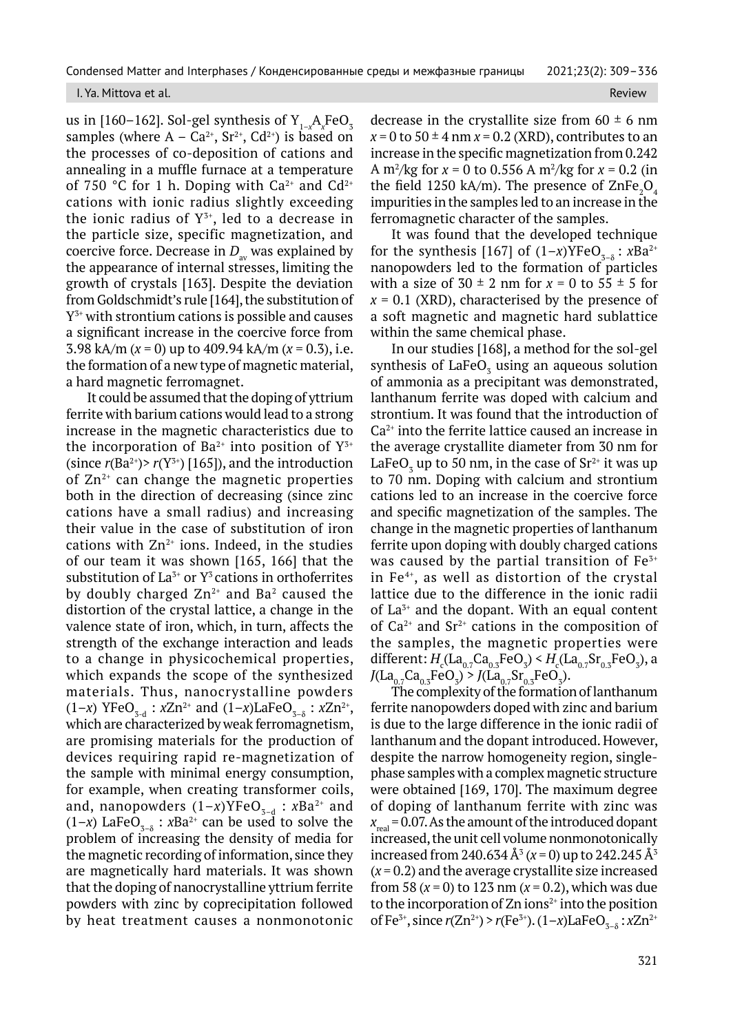#### I. Ya. Mittova et al. Review

us in [160–162]. Sol-gel synthesis of  ${\rm Y}_{1-x}{\rm A}_x{\rm FeO}_3$ samples (where  $A - Ca^{2+}$ ,  $Sr^{2+}$ ,  $Cd^{2+}$ ) is based on the processes of co-deposition of cations and annealing in a muffle furnace at a temperature of 750 °C for 1 h. Doping with  $Ca^{2+}$  and  $Cd^{2+}$ cations with ionic radius slightly exceeding the ionic radius of  $Y^{3+}$ , led to a decrease in the particle size, specific magnetization, and coercive force. Decrease in  $D_{av}$  was explained by the appearance of internal stresses, limiting the growth of crystals [163]. Despite the deviation from Goldschmidt's rule [164], the substitution of  $Y^{3+}$  with strontium cations is possible and causes a significant increase in the coercive force from 3.98 kA/m (*x* = 0) up to 409.94 kA/m (*x* = 0.3), i.e. the formation of a new type of magnetic material, a hard magnetic ferromagnet.

It could be assumed that the doping of yttrium ferrite with barium cations would lead to a strong increase in the magnetic characteristics due to the incorporation of Ba<sup>2+</sup> into position of  $Y^{3+}$ (since  $r(Ba^{2+})$ >  $r(Y^{3+})$  [165]), and the introduction of  $Zn^{2+}$  can change the magnetic properties both in the direction of decreasing (since zinc cations have a small radius) and increasing their value in the case of substitution of iron cations with  $Zn^{2+}$  ions. Indeed, in the studies of our team it was shown [165, 166] that the substitution of  $La^{3+}$  or  $Y^3$  cations in orthoferrites by doubly charged  $Zn^{2+}$  and Ba<sup>2</sup> caused the distortion of the crystal lattice, a change in the valence state of iron, which, in turn, affects the strength of the exchange interaction and leads to a change in physicochemical properties, which expands the scope of the synthesized materials. Thus, nanocrystalline powders  $(1-x)$  YFeO<sub>3-d</sub> :  $xZn^{2+}$  and  $(1-x)$ LaFeO<sub>3- $\delta$ </sub> :  $xZn^{2+}$ , which are characterized by weak ferromagnetism, are promising materials for the production of devices requiring rapid re-magnetization of the sample with minimal energy consumption, for example, when creating transformer coils, and, nanopowders  $(1-x)$ YFeO<sub>3-d</sub> : *x*Ba<sup>2+</sup> and  $(1-x)$  LaFe $O_{3-\delta}$ : *x*Ba<sup>2+</sup> can be used to solve the problem of increasing the density of media for the magnetic recording of information, since they are magnetically hard materials. It was shown that the doping of nanocrystalline yttrium ferrite powders with zinc by coprecipitation followed by heat treatment causes a nonmonotonic

decrease in the crystallite size from  $60 \pm 6$  nm  $x = 0$  to  $50 \pm 4$  nm  $x = 0.2$  (XRD), contributes to an increase in the specific magnetization from 0.242 A m2 /kg for *x* = 0 to 0.556 A m2 /kg for *x* = 0.2 (in the field 1250 kA/m). The presence of ZnFe ${_{2} \rm{O}_{4}}$ impurities in the samples led to an increase in the ferromagnetic character of the samples.

It was found that the developed technique for the synthesis [167] of  $(1-x)$ YFeO<sub> $\tau_{-\delta}$ </sub>:  $xBa^{2+}$ nanopowders led to the formation of particles with a size of  $30 \pm 2$  nm for  $x = 0$  to  $55 \pm 5$  for  $x = 0.1$  (XRD), characterised by the presence of a soft magnetic and magnetic hard sublattice within the same chemical phase.

In our studies [168], a method for the sol-gel synthesis of  $\text{LaFeO}_3$  using an aqueous solution of ammonia as a precipitant was demonstrated, lanthanum ferrite was doped with calcium and strontium. It was found that the introduction of Ca2+ into the ferrite lattice caused an increase in the average crystallite diameter from 30 nm for LaFeO<sub>3</sub> up to 50 nm, in the case of Sr<sup>2+</sup> it was up to 70 nm. Doping with calcium and strontium cations led to an increase in the coercive force and specific magnetization of the samples. The change in the magnetic properties of lanthanum ferrite upon doping with doubly charged cations was caused by the partial transition of  $Fe<sup>3+</sup>$ in  $Fe<sup>4+</sup>$ , as well as distortion of the crystal lattice due to the difference in the ionic radii of  $La<sup>3+</sup>$  and the dopant. With an equal content of  $Ca^{2+}$  and  $Sr^{2+}$  cations in the composition of the samples, the magnetic properties were different:  $H_c( \text{La}_{0.7}\text{Ca}_{0.3}\text{FeO}_3) \leq H_c( \text{La}_{0.7}\text{Sr}_{0.3}\text{FeO}_3)$ , a  $J(La_{0.7}Ca_{0.3}FeO_3) > J(La_{0.7}Sr_{0.3}FeO_3).$ 

The complexity of the formation of lanthanum ferrite nanopowders doped with zinc and barium is due to the large difference in the ionic radii of lanthanum and the dopant introduced. However, despite the narrow homogeneity region, singlephase samples with a complex magnetic structure were obtained [169, 170]. The maximum degree of doping of lanthanum ferrite with zinc was  $X_{real} = 0.07$ . As the amount of the introduced dopant increased, the unit cell volume nonmonotonically increased from 240.634 Å<sup>3</sup> ( $x = 0$ ) up to 242.245 Å<sup>3</sup>  $(x = 0.2)$  and the average crystallite size increased from 58 (*x* = 0) to 123 nm (*x* = 0.2), which was due to the incorporation of  $Zn$  ions<sup>2+</sup> into the position of Fe<sup>3+</sup>, since  $r(Zn^{2+}) > r(Fe^{3+})$ .  $(1-x)LaFeO_{3-8}$ :  $xZn^{2+}$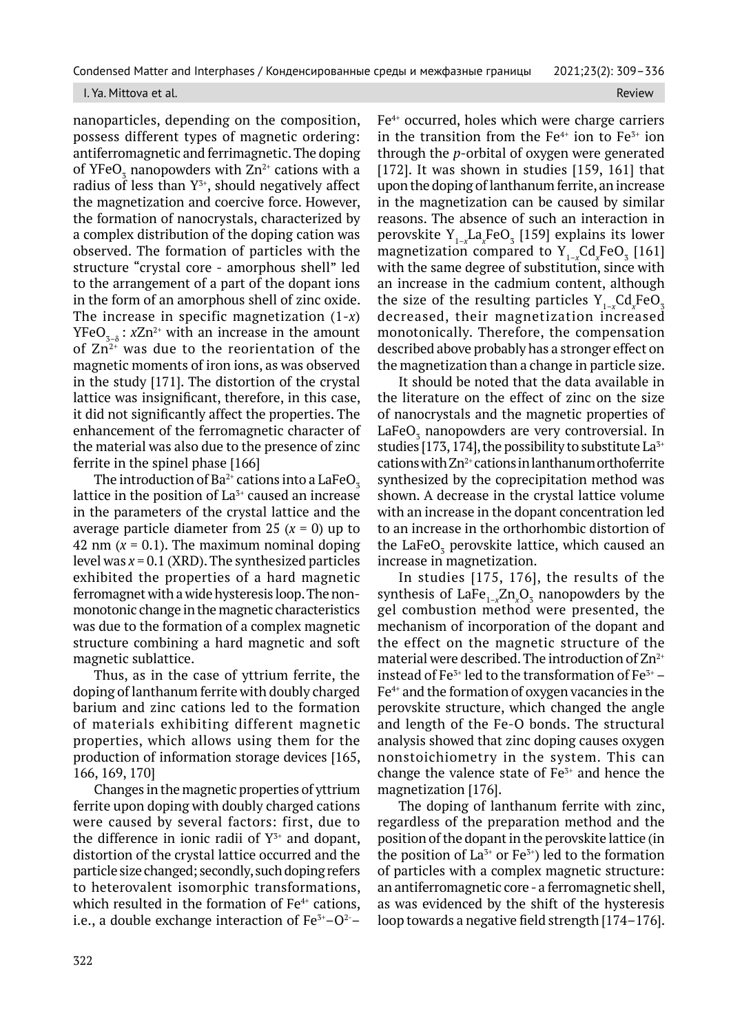#### I. Ya. Mittova et al. Review and the contract of the contract of the contract of the contract of the contract of the contract of the contract of the contract of the contract of the contract of the contract of the contract

nanoparticles, depending on the composition, possess different types of magnetic ordering: antiferromagnetic and ferrimagnetic. The doping of YFeO<sub>3</sub> nanopowders with Zn<sup>2+</sup> cations with a radius of less than  $Y^{3+}$ , should negatively affect the magnetization and coercive force. However, the formation of nanocrystals, characterized by a complex distribution of the doping cation was observed. The formation of particles with the structure "crystal core - amorphous shell" led to the arrangement of a part of the dopant ions in the form of an amorphous shell of zinc oxide. The increase in specific magnetization (1-*x*)  $YFeO<sub>3-8</sub>$ : *x*Zn<sup>2+</sup> with an increase in the amount of  $Zn^{2+}$  was due to the reorientation of the magnetic moments of iron ions, as was observed in the study [171]. The distortion of the crystal lattice was insignificant, therefore, in this case, it did not significantly affect the properties. The enhancement of the ferromagnetic character of the material was also due to the presence of zinc ferrite in the spinel phase [166]

The introduction of  $Ba^{2+}$  cations into a LaFeO<sub>z</sub> lattice in the position of  $La<sub>3+</sub>$  caused an increase in the parameters of the crystal lattice and the average particle diameter from 25  $(x = 0)$  up to 42 nm  $(x = 0.1)$ . The maximum nominal doping level was *x* = 0.1 (XRD). The synthesized particles exhibited the properties of a hard magnetic ferromagnet with a wide hysteresis loop. The nonmonotonic change in the magnetic characteristics was due to the formation of a complex magnetic structure combining a hard magnetic and soft magnetic sublattice.

Thus, as in the case of yttrium ferrite, the doping of lanthanum ferrite with doubly charged barium and zinc cations led to the formation of materials exhibiting different magnetic properties, which allows using them for the production of information storage devices [165, 166, 169, 170]

Changes in the magnetic properties of yttrium ferrite upon doping with doubly charged cations were caused by several factors: first, due to the difference in ionic radii of  $Y^{3+}$  and dopant, distortion of the crystal lattice occurred and the particle size changed; secondly, such doping refers to heterovalent isomorphic transformations, which resulted in the formation of  $Fe<sup>4+</sup>$  cations, i.e., a double exchange interaction of  $Fe<sup>3+</sup>-O<sup>2-</sup>$ 

Fe4+ occurred, holes which were charge carriers in the transition from the  $Fe<sup>4+</sup>$  ion to  $Fe<sup>3+</sup>$  ion through the *p*-orbital of oxygen were generated [172]. It was shown in studies [159, 161] that upon the doping of lanthanum ferrite, an increase in the magnetization can be caused by similar reasons. The absence of such an interaction in perovskite Y<sub>1-x</sub>La<sub>x</sub>FeO<sub>3</sub> [159] explains its lower magnetization compared to  $Y_{1-x}Cd_xFeO_3$  [161] with the same degree of substitution, since with an increase in the cadmium content, although the size of the resulting particles  $Y_{1-x}Cd_xFeO_3$ decreased, their magnetization increased monotonically. Therefore, the compensation described above probably has a stronger effect on the magnetization than a change in particle size.

It should be noted that the data available in the literature on the effect of zinc on the size of nanocrystals and the magnetic properties of LaFe $\mathrm{O}_3$  nanopowders are very controversial. In studies [173, 174], the possibility to substitute  $La^{3+}$ cations with  $Zn^{2+}$  cations in lanthanum orthoferrite synthesized by the coprecipitation method was shown. A decrease in the crystal lattice volume with an increase in the dopant concentration led to an increase in the orthorhombic distortion of the LaFe $\mathrm{O}_\mathrm{\scriptscriptstyle{3}}$  perovskite lattice, which caused an increase in magnetization.

In studies [175, 176], the results of the synthesis of  $\text{LaFe}_{1-x} \text{Zn}_x \text{O}_3$  nanopowders by the gel combustion method were presented, the mechanism of incorporation of the dopant and the effect on the magnetic structure of the material were described. The introduction of  $Zn^{2+}$ instead of Fe<sup>3+</sup> led to the transformation of Fe<sup>3+</sup> –  $Fe<sup>4+</sup>$  and the formation of oxygen vacancies in the perovskite structure, which changed the angle and length of the Fe-O bonds. The structural analysis showed that zinc doping causes oxygen nonstoichiometry in the system. This can change the valence state of  $Fe<sup>3+</sup>$  and hence the magnetization [176].

The doping of lanthanum ferrite with zinc, regardless of the preparation method and the position of the dopant in the perovskite lattice (in the position of  $La^{3+}$  or  $Fe^{3+}$ ) led to the formation of particles with a complex magnetic structure: an antiferromagnetic core - a ferromagnetic shell, as was evidenced by the shift of the hysteresis loop towards a negative field strength [174–176].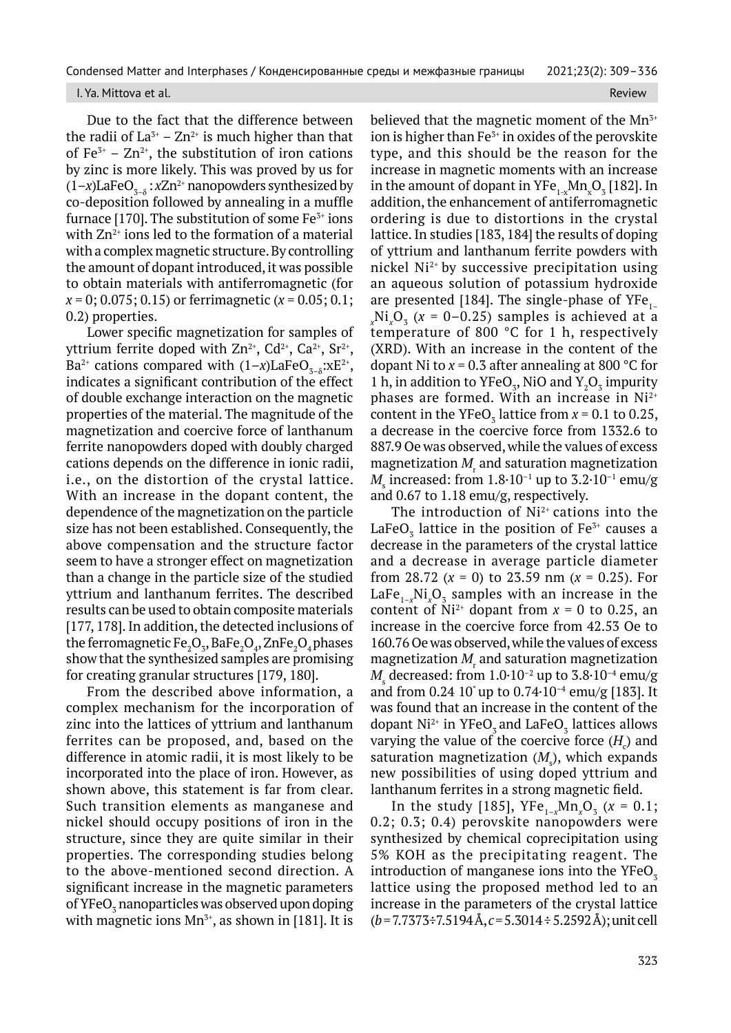#### I. Ya. Mittova et al. Review

Due to the fact that the difference between the radii of  $La^{3+} - Zn^{2+}$  is much higher than that of  $Fe<sup>3+</sup> - Zn<sup>2+</sup>$ , the substitution of iron cations by zinc is more likely. This was proved by us for  $(1-x)$ LaFeO<sub>3-8</sub> : *x*Zn<sup>2+</sup> nanopowders synthesized by co-deposition followed by annealing in a muffle furnace [170]. The substitution of some  $Fe<sup>3+</sup>$  ions with  $Zn^{2+}$  ions led to the formation of a material with a complex magnetic structure. By controlling the amount of dopant introduced, it was possible to obtain materials with antiferromagnetic (for *x* = 0; 0.075; 0.15) or ferrimagnetic (*x* = 0.05; 0.1; 0.2) properties.

Lower specific magnetization for samples of yttrium ferrite doped with  $Zn^{2+}$ , Cd<sup>2+</sup>, Ca<sup>2+</sup>, Sr<sup>2+</sup>, Ba<sup>2+</sup> cations compared with  $(1-x)$ LaFeO<sub>3–8</sub>:xE<sup>2+</sup>, indicates a significant contribution of the effect of double exchange interaction on the magnetic properties of the material. The magnitude of the magnetization and coercive force of lanthanum ferrite nanopowders doped with doubly charged cations depends on the difference in ionic radii, i.e., on the distortion of the crystal lattice. With an increase in the dopant content, the dependence of the magnetization on the particle size has not been established. Consequently, the above compensation and the structure factor seem to have a stronger effect on magnetization than a change in the particle size of the studied yttrium and lanthanum ferrites. The described results can be used to obtain composite materials [177, 178]. In addition, the detected inclusions of the ferromagnetic  $\mathsf{Fe}_{\mathbf{2}}\mathsf{O}_{\mathbf{3}}, \mathsf{BaFe}_{\mathbf{2}}\mathsf{O}_{\mathbf{4}}, \mathsf{ZnFe}_{\mathbf{2}}\mathsf{O}_{\mathbf{4}}$  phases show that the synthesized samples are promising for creating granular structures [179, 180].

From the described above information, a complex mechanism for the incorporation of zinc into the lattices of yttrium and lanthanum ferrites can be proposed, and, based on the difference in atomic radii, it is most likely to be incorporated into the place of iron. However, as shown above, this statement is far from clear. Such transition elements as manganese and nickel should occupy positions of iron in the structure, since they are quite similar in their properties. The corresponding studies belong to the above-mentioned second direction. A significant increase in the magnetic parameters of YFeO $_3$  nanoparticles was observed upon doping with magnetic ions  $Mn^{3+}$ , as shown in [181]. It is

believed that the magnetic moment of the  $Mn^{3+}$ ion is higher than  $Fe<sup>3+</sup>$  in oxides of the perovskite type, and this should be the reason for the increase in magnetic moments with an increase in the amount of dopant in  $\mathrm{YFe}_{1\text{-x}}\mathrm{Mn}_{\mathrm{x}}\mathrm{O}_{\frac{1}{3}}$  [182]. In addition, the enhancement of antiferromagnetic ordering is due to distortions in the crystal lattice. In studies [183, 184] the results of doping of yttrium and lanthanum ferrite powders with nickel Ni2+ by successive precipitation using an aqueous solution of potassium hydroxide are presented [184]. The single-phase of  $YFe_{1-}$  $_{x}$ Ni<sub> $_{x}$ </sub>O<sub>3</sub> ( $x = 0$ –0.25) samples is achieved at a temperature of 800 °C for 1 h, respectively (XRD). With an increase in the content of the dopant Ni to  $x = 0.3$  after annealing at 800 °C for 1 h, in addition to YFeO<sub>3</sub>, NiO and  $Y_2O_3$  impurity phases are formed. With an increase in Ni<sup>2+</sup> content in the YFeO<sub>3</sub> lattice from  $x = 0.1$  to 0.25, a decrease in the coercive force from 1332.6 to 887.9 Oe was observed, while the values of excess magnetization  $M_{\rm r}$  and saturation magnetization  $M_{\rm s}$  increased: from  $1.8{\cdot}10^{\text{-}1}$  up to  $3.2{\cdot}10^{\text{-}1}$  emu/g and 0.67 to 1.18 emu/g, respectively.

The introduction of  $Ni<sup>2+</sup>$  cations into the LaFe $\mathrm{O}_3^{}$  lattice in the position of Fe $^{3+}$  causes a decrease in the parameters of the crystal lattice and a decrease in average particle diameter from 28.72  $(x = 0)$  to 23.59 nm  $(x = 0.25)$ . For LaFe $_{1-x}$ Ni<sub>x</sub>O<sub>3</sub> samples with an increase in the content of  $Ni^{2+}$  dopant from  $x = 0$  to 0.25, an increase in the coercive force from 42.53 Oe to 160.76 Oe was observed, while the values of excess magnetization  $M_{\rm r}$  and saturation magnetization  $M_{\rm s}$  decreased: from  $1.0{\cdot}10^{-2}$  up to  $3.8{\cdot}10^{-4}$  emu/g and from 0.24 10° up to 0.74 $\cdot$ 10<sup>-4</sup> emu/g [183]. It was found that an increase in the content of the dopant Ni $^{2+}$  in YFeO $_3$  and LaFeO $_3$  lattices allows varying the value of the coercive force  $(H<sub>c</sub>)$  and saturation magnetization  $(M<sub>s</sub>)$ , which expands new possibilities of using doped yttrium and lanthanum ferrites in a strong magnetic field.

In the study [185],  $YFe_{1-x}Mn_xO_3$  ( $x = 0.1$ ; 0.2; 0.3; 0.4) perovskite nanopowders were synthesized by chemical coprecipitation using 5% KOH as the precipitating reagent. The introduction of manganese ions into the  $YFeO<sub>3</sub>$ lattice using the proposed method led to an increase in the parameters of the crystal lattice (*b* = 7.7373÷7.5194 Å, *c* = 5.3014 ÷ 5.2592 Å); unit cell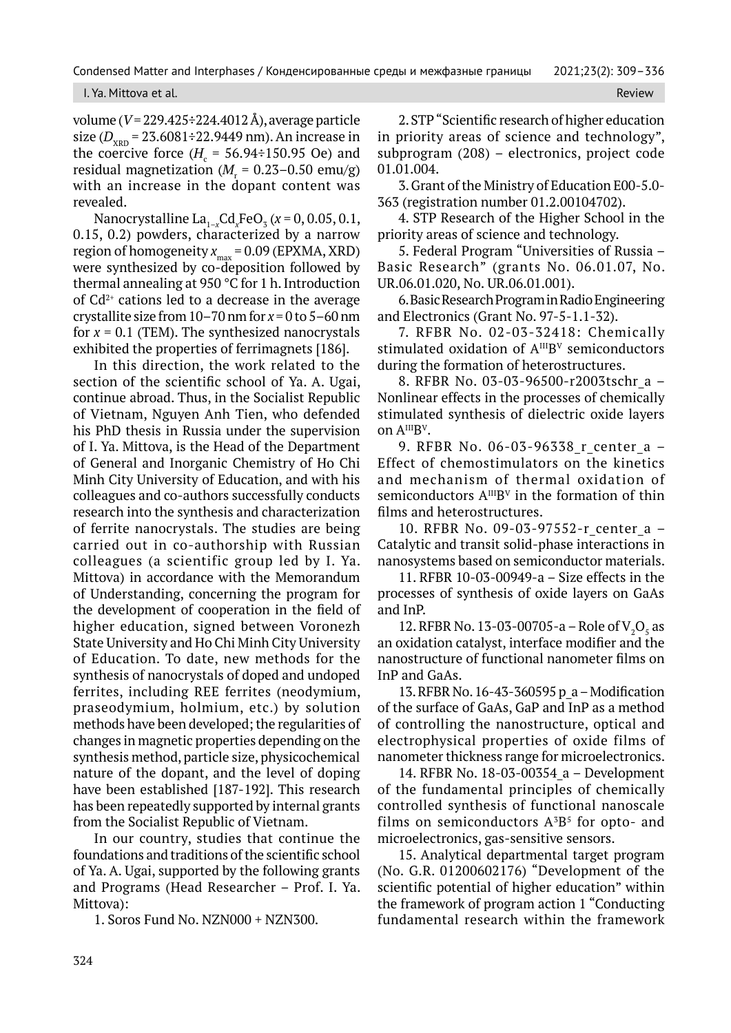### I. Ya. Mittova et al. Review and the contract of the contract of the contract of the contract of the contract of the contract of the contract of the contract of the contract of the contract of the contract of the contract

volume (*V* = 229.425÷224.4012 Å), average particle size (D<sub>XRD</sub> = 23.6081÷22.9449 nm). An increase in the coercive force ( $H_c$  = 56.94÷150.95 Oe) and residual magnetization ( $M_{\rm r}$  = 0.23–0.50 emu/g) with an increase in the dopant content was revealed.

Nanocrystalline  $\text{La}_{1-x} \text{Cd}_{x} \text{FeO}_{x} (x = 0, 0.05, 0.1,$ 0.15, 0.2) powders, characterized by a narrow region of homogeneity  $x_{\text{max}} = 0.09$  (EPXMA, XRD) were synthesized by co-deposition followed by thermal annealing at 950 °C for 1 h. Introduction of  $Cd^{2+}$  cations led to a decrease in the average crystallite size from 10–70 nm for *x* = 0 to 5–60 nm for  $x = 0.1$  (TEM). The synthesized nanocrystals exhibited the properties of ferrimagnets [186].

In this direction, the work related to the section of the scientific school of Ya. A. Ugai, continue abroad. Thus, in the Socialist Republic of Vietnam, Nguyen Anh Tien, who defended his PhD thesis in Russia under the supervision of I. Ya. Mittova, is the Head of the Department of General and Inorganic Chemistry of Ho Chi Minh City University of Education, and with his colleagues and co-authors successfully conducts research into the synthesis and characterization of ferrite nanocrystals. The studies are being carried out in co-authorship with Russian colleagues (a scientific group led by I. Ya. Mittova) in accordance with the Memorandum of Understanding, concerning the program for the development of cooperation in the field of higher education, signed between Voronezh State University and Ho Chi Minh City University of Education. To date, new methods for the synthesis of nanocrystals of doped and undoped ferrites, including REE ferrites (neodymium, praseodymium, holmium, etc.) by solution methods have been developed; the regularities of changes in magnetic properties depending on the synthesis method, particle size, physicochemical nature of the dopant, and the level of doping have been established [187-192]. This research has been repeatedly supported by internal grants from the Socialist Republic of Vietnam.

In our country, studies that continue the foundations and traditions of the scientific school of Ya. A. Ugai, supported by the following grants and Programs (Head Researcher – Prof. I. Ya. Mittova):

1. Soros Fund No. NZN000 + NZN300.

2. STP "Scientific research of higher education in priority areas of science and technology", subprogram (208) – electronics, project code 01.01.004.

3. Grant of the Ministry of Education Е00-5.0- 363 (registration number 01.2.00104702).

4. STP Research of the Higher School in the priority areas of science and technology.

5. Federal Program "Universities of Russia – Basic Research" (grants No. 06.01.07, No. UR.06.01.020, No. UR.06.01.001).

6. Basic Research Program in Radio Engineering and Electronics (Grant No. 97-5-1.1-32).

7. RFBR No. 02-03-32418: Chemically stimulated oxidation of  $A^{III}B^{V}$  semiconductors during the formation of heterostructures.

8. RFBR No. 03-03-96500-r2003tschr\_a – Nonlinear effects in the processes of chemically stimulated synthesis of dielectric oxide layers on AIIIB<sup>V</sup>.

9. RFBR No. 06-03-96338 r center a -Effect of chemostimulators on the kinetics and mechanism of thermal oxidation of semiconductors  $A^{III}B^{V}$  in the formation of thin films and heterostructures.

10. RFBR No. 09-03-97552-r\_center\_a – Catalytic and transit solid-phase interactions in nanosystems based on semiconductor materials.

11. RFBR 10-03-00949-a – Size effects in the processes of synthesis of oxide layers on GaAs and InP.

12. RFBR No. 13-03-00705-a – Role of  $V_2O_5$  as an oxidation catalyst, interface modifier and the nanostructure of functional nanometer films on InP and GaAs.

13. RFBR No. 16-43-360595 p\_a – Modification of the surface of GaAs, GaP and InP as a method of controlling the nanostructure, optical and electrophysical properties of oxide films of nanometer thickness range for microelectronics.

14. RFBR No. 18-03-00354 a - Development of the fundamental principles of chemically controlled synthesis of functional nanoscale films on semiconductors  $A^{3}B^{5}$  for opto- and microelectronics, gas-sensitive sensors.

15. Analytical departmental target program (No. G.R. 01200602176) "Development of the scientific potential of higher education" within the framework of program action 1 "Conducting fundamental research within the framework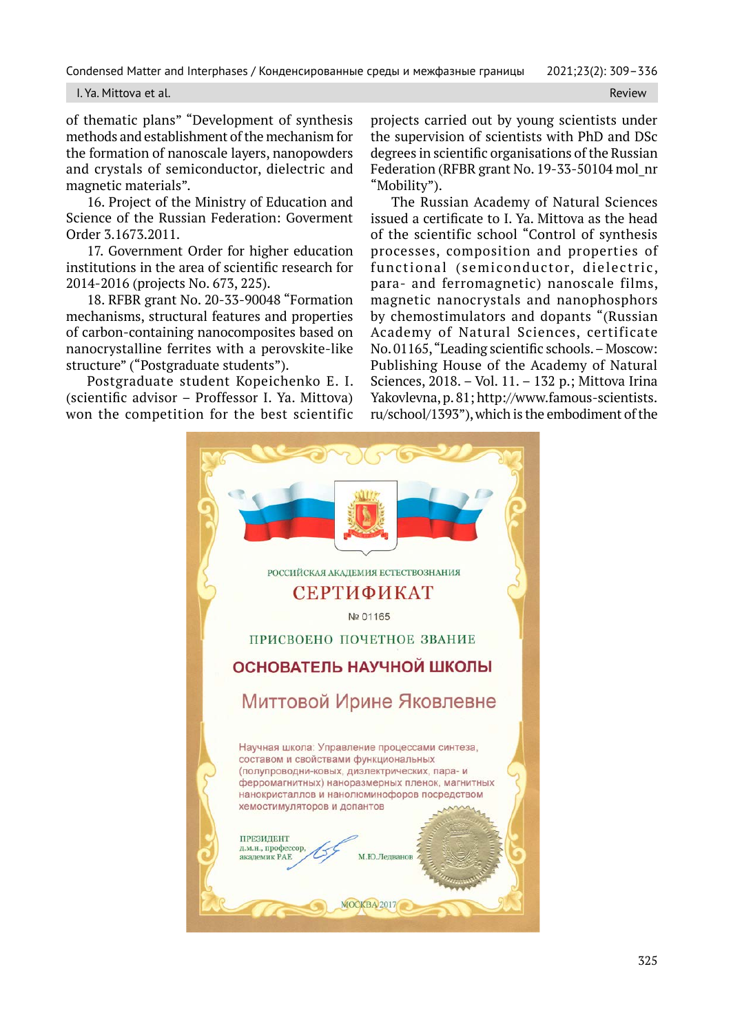I. Ya. Mittova et al. Review

of thematic plans" "Development of synthesis methods and establishment of the mechanism for the formation of nanoscale layers, nanopowders and crystals of semiconductor, dielectric and magnetic materials".

16. Project of the Ministry of Education and Science of the Russian Federation: Goverment Order 3.1673.2011.

17. Government Order for higher education institutions in the area of scientific research for 2014-2016 (projects No. 673, 225).

18. RFBR grant No. 20-33-90048 "Formation mechanisms, structural features and properties of carbon-containing nanocomposites based on nanocrystalline ferrites with a perovskite-like structure" ("Postgraduate students").

Postgraduate student Kopeichenko E. I. (scientific advisor – Proffessor I. Ya. Mittova) won the competition for the best scientific projects carried out by young scientists under the supervision of scientists with PhD and DSc degrees in scientific organisations of the Russian Federation (RFBR grant No. 19-33-50104 mol\_nr "Mobility").

The Russian Academy of Natural Sciences issued a certificate to I. Ya. Mittova as the head of the scientific school "Control of synthesis processes, composition and properties of functional (semiconductor, dielectric, para- and ferromagnetic) nanoscale films, magnetic nanocrystals and nanophosphors by chemostimulators and dopants "(Russian Academy of Natural Sciences, certificate No. 01165, "Leading scientific schools. – Moscow: Publishing House of the Academy of Natural Sciences, 2018. – Vol. 11. – 132 p.; Mittova Irina Yakovlevna, p. 81; http://www.famous-scientists. ru/school/1393"), which is the embodiment of the

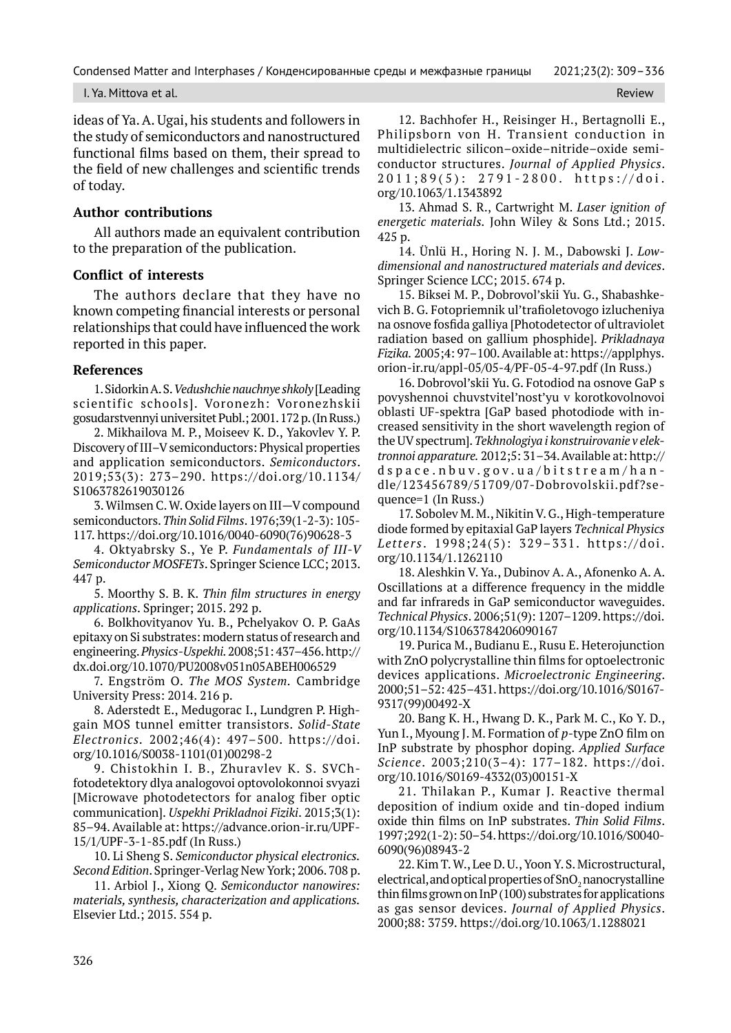I. Ya. Mittova et al. Review All and the control of the control of the control of the control of the control of the control of the control of the control of the control of the control of the control of the control of the c

ideas of Ya. A. Ugai, his students and followers in the study of semiconductors and nanostructured functional films based on them, their spread to the field of new challenges and scientific trends of today.

## **Author contributions**

All authors made an equivalent contribution to the preparation of the publication.

## **Conflict of interests**

The authors declare that they have no known competing financial interests or personal relationships that could have influenced the work reported in this paper.

### **References**

1. Sidorkin A. S. *Vedushchie nauchnye shkoly* [Leading scientific schools]. Voronezh: Voronezhskii gosudarstvennyi universitet Publ.; 2001. 172 p. (In Russ.)

2. Mikhailova M. P., Moiseev K. D., Yakovlev Y. P. Discovery of III–V semiconductors: Physical properties and application semiconductors. *Semiconductors*. 2019;53(3): 273–290. https://doi.org/10.1134/ S1063782619030126

3. Wilmsen C. W. Oxide layers on III—V compound semiconductors. *Thin Solid Films*. 1976;39(1-2-3): 105- 117. https://doi.org/10.1016/0040-6090(76)90628-3

4. Oktyabrsky S., Ye P. *Fundamentals of III-V Semiconductor MOSFETs*. Springer Science LCC; 2013. 447 p.

5. Moorthy S. B. K. *Thin film structures in energy applications*. Springer; 2015. 292 p.

6. Bolkhovityanov Yu. B., Pchelyakov O. P. GaAs epitaxy on Si substrates: modern status of research and engineering. *Physics-Uspekhi.* 2008;51: 437–456. http:// dx.doi.org/10.1070/PU2008v051n05ABEH006529

7. Engström O. *The MOS System.* Cambridge University Press: 2014. 216 p.

8. Aderstedt E., Medugorac I., Lundgren P. Highgain MOS tunnel emitter transistors. *Solid-State Electronics.* 2002;46(4): 497–500. https://doi. org/10.1016/S0038-1101(01)00298-2

9. Chistokhin I. B., Zhuravlev K. S. SVChfotodetektory dlya analogovoi optovolokonnoi svyazi [Microwave photodetectors for analog fiber optic communication]. *Uspekhi Prikladnoi Fiziki*. 2015;3(1): 85–94. Available at: https://advance.orion-ir.ru/UPF-15/1/UPF-3-1-85.pdf (In Russ.)

10. Li Sheng S. *Semiconductor physical electronics. Second Edition*. Springer-Verlag New York; 2006. 708 p.

11. Arbiol J., Xiong Q. *Semiconductor nanowires: materials, synthesis, characterization and applications.* Elsevier Ltd.; 2015. 554 p.

12. Bachhofer H., Reisinger H., Bertagnolli E., Philipsborn von H. Transient conduction in multidielectric silicon–oxide–nitride–oxide semiconductor structures. *Journal of Applied Physics*. 2011;89(5): 2791-2800. https://doi. org/10.1063/1.1343892

13. Ahmad S. R., Cartwright M. *Laser ignition of energetic materials.* John Wiley & Sons Ltd.; 2015. 425 p.

14. Ünlü H., Horing N. J. M., Dabowski J. *Lowdimensional and nanostructured materials and devices*. Springer Science LCC; 2015. 674 p.

15. Biksei M. P., Dobrovol'skii Yu. G., Shabashkevich B. G. Fotopriemnik ul'trafioletovogo izlucheniya na osnove fosfida galliya [Photodetector of ultraviolet radiation based on gallium phosphide]. *Prikladnaya Fizika.* 2005;4: 97–100. Available at: https://applphys. orion-ir.ru/appl-05/05-4/PF-05-4-97.pdf (In Russ.)

16. Dobrovol'skii Yu. G. Fotodiod na osnove GaP s povyshennoi chuvstvitel'nost'yu v korotkovolnovoi oblasti UF-spektra [GaP based photodiode with increased sensitivity in the short wavelength region of the UV spectrum]. *Tekhnologiya i konstruirovanie v elektronnoi apparature.* 2012;5: 31–34. Available at: http:// dspace.nbuv.gov.ua/bitstream/han dle/123456789/51709/07-Dobrovolskii.pdf?sequence=1 (In Russ.)

17. Sobolev M. M., Nikitin V. G., High-temperature diode formed by epitaxial GaP layers *Technical Physics Letters* . 1998;24(5): 329–331. https://doi. org/10.1134/1.1262110

18. Aleshkin V. Ya., Dubinov A. A., Afonenko A. A. Oscillations at a difference frequency in the middle and far infrareds in GaP semiconductor waveguides. *Technical Physics*. 2006;51(9): 1207–1209. https://doi. org/10.1134/S1063784206090167

19. Purica M., Budianu E., Rusu E. Heterojunction with ZnO polycrystalline thin films for optoelectronic devices applications. *Microelectronic Engineering*. 2000;51–52: 425–431. https://doi.org/10.1016/S0167- 9317(99)00492-X

20. Bang K. H., Hwang D. K., Park M. C., Ko Y. D., Yun I., Myoung J. M. Formation of *p*-type ZnO film on InP substrate by phosphor doping. *Applied Surface Science*. 2003;210(3–4): 177–182. https://doi. org/10.1016/S0169-4332(03)00151-X

21. Thilakan P., Kumar J. Reactive thermal deposition of indium oxide and tin-doped indium oxide thin films on InP substrates. *Thin Solid Films*. 1997;292(1-2): 50–54. https://doi.org/10.1016/S0040- 6090(96)08943-2

22. Kim T. W., Lee D. U., Yoon Y. S. Microstructural, electrical, and optical properties of SnO<sub>2</sub> nanocrystalline thin films grown on InP (100) substrates for applications as gas sensor devices. *Journal of Applied Physics*. 2000;88: 3759. https://doi.org/10.1063/1.1288021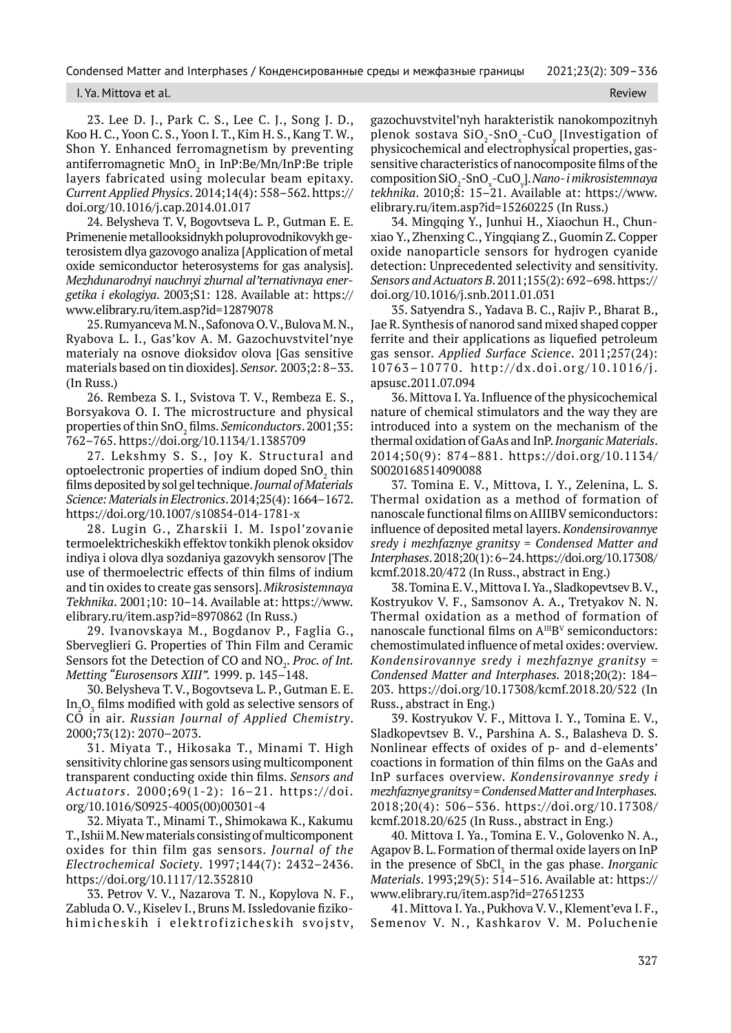#### I. Ya. Mittova et al. Review

23. Lee D. J., Park C. S., Lee C. J., Song J. D., Koo H. C., Yoon C. S., Yoon I. T., Kim H. S., Kang T. W., Shon Y. Enhanced ferromagnetism by preventing antiferromagnetic  $MnO_2$  in InP:Be/Mn/InP:Be triple layers fabricated using molecular beam epitaxy. *Current Applied Physics*. 2014;14(4): 558–562. https:// doi.org/10.1016/j.cap.2014.01.017

24. Belysheva T. V, Bogovtseva L. P., Gutman E. E. Primenenie metallooksidnykh poluprovodnikovykh geterosistem dlya gazovogo analiza [Application of metal oxide semiconductor heterosystems for gas analysis]. *Mezhdunarodnyi nauchnyi zhurnal al'ternativnaya energetika i ekologiya*. 2003;S1: 128. Available at: https:// www.elibrary.ru/item.asp?id=12879078

25. Rumyanceva M. N., Safonova O. V., Bulova M. N., Ryabova L. I., Gas'kov A. M. Gazochuvstvitel'nye materialy na osnove dioksidov olova [Gas sensitive materials based on tin dioxides]. *Sensor.* 2003;2: 8–33. (In Russ.)

26. Rembeza S. I., Svistova T. V., Rembeza E. S., Borsyakova O. I. The microstructure and physical properties of thin SnO2 films. *Semiconductors*. 2001;35: 762–765. https://doi.org/10.1134/1.1385709

27. Lekshmy S. S., Joy K. Structural and optoelectronic properties of indium doped  $\text{SnO}_{\text{2}}$  thin films deposited by sol gel technique. *Journal of Materials Science: Materials in Electronics*. 2014;25(4): 1664–1672. https://doi.org/10.1007/s10854-014-1781-x

28. Lugin G., Zharskii I. M. Ispol'zovanie termoelektricheskikh effektov tonkikh plenok oksidov indiya i olova dlya sozdaniya gazovykh sensorov [The use of thermoelectric effects of thin films of indium and tin oxides to create gas sensors]. *Mikrosistemnaya Tekhnika*. 2001;10: 10–14. Available at: https://www. elibrary.ru/item.asp?id=8970862 (In Russ.)

29. Ivanovskaya M., Bogdanov P., Faglia G., Sberveglieri G. Properties of Thin Film and Ceramic Sensors fot the Detection of CO and NO<sub>2</sub>. *Proc. of Int. Metting "Eurosensors XIII".* 1999. p. 145–148.

30. Belysheva T. V., Bogovtseva L. P., Gutman E. E. In ${_{2}O_{_{3}}}$  films modified with gold as selective sensors of CO in air. *Russian Journal of Applied Chemistry*. 2000;73(12): 2070–2073.

31. Miyata T., Hikosaka T., Minami T. High sensitivity chlorine gas sensors using multicomponent transparent conducting oxide thin films. *Sensors and Actuators*. 2000;69(1-2): 16–21. https://doi. org/10.1016/S0925-4005(00)00301-4

32. Miyata T., Minami T., Shimokawa K., Kakumu T., Ishii M. New materials consisting of multicomponent oxides for thin film gas sensors. *Journal of the Electrochemical Society*. 1997;144(7): 2432–2436. https://doi.org/10.1117/12.352810

33. Petrov V. V., Nazarova T. N., Kopylova N. F., Zabluda O. V., Kiselev I., Bruns M. Issledovanie fizikohimicheskih i elektrofizicheskih svojstv, gazochuvstvitel'nyh harakteristik nanokompozitnyh plenok sostava SiO $_2$ -SnO $_\mathrm{x}$ -CuO $_\mathrm{y}$ [Investigation of physicochemical and electrophysical properties, gassensitive characteristics of nanocomposite films of the composition SiO<sub>2</sub>-SnO<sub>x</sub>-CuO<sub>y</sub>]. *Nano- i mikrosistemnaya tekhnika*. 2010;8: 15–21. Available at: https://www. elibrary.ru/item.asp?id=15260225 (In Russ.)

34. Mingqing Y., Junhui H., Xiaochun H., Chunxiao Y., Zhenxing C., Yingqiang Z., Guomin Z. Copper oxide nanoparticle sensors for hydrogen cyanide detection: Unprecedented selectivity and sensitivity. *Sensors and Actuators B*. 2011;155(2): 692–698. https:// doi.org/10.1016/j.snb.2011.01.031

35. Satyendra S., Yadava B. C., Rajiv P., Bharat B., Jae R. Synthesis of nanorod sand mixed shaped copper ferrite and their applications as liquefied petroleum gas sensor. *Applied Surface Science*. 2011;257(24): 10763–10770. http://dx.doi.org/10.1016/j. apsusc.2011.07.094

36. Mittova I. Ya. Influence of the physicochemical nature of chemical stimulators and the way they are introduced into a system on the mechanism of the thermal oxidation of GaAs and InP. *Inorganic Materials*. 2014;50(9): 874–881. https://doi.org/10.1134/ S0020168514090088

37. Tominа E. V., Mittova, I. Y., Zelenina, L. S. Thermal oxidation as a method of formation of nanoscale functional films on AIIIBV semiconductors: influence of deposited metal layers. *Kondensirovannye sredy i mezhfaznye granitsy* = *Condensed Matter and Interphases*. 2018;20(1): 6–24. https://doi.org/10.17308/ kcmf.2018.20/472 (In Russ., abstract in Eng.)

38. Tominа E. V., Mittova I. Ya., Sladkopevtsev B. V., Kostryukov V. F., Samsonov A. A., Tretyakov N. N. Thermal oxidation as a method of formation of nanoscale functional films on  $A^{III}B^{V}$  semiconductors: chemostimulated influence of metal oxides: overview. *Kondensirovannye sredy i mezhfaznye granitsy = Condensed Matter and Interphases.* 2018;20(2): 184– 203. https://doi.org/10.17308/kcmf.2018.20/522 (In Russ., abstract in Eng.)

39. Kostryukov V. F., Mittova I. Y., Tominа E. V., Sladkopevtsev B. V., Parshina A. S., Balasheva D. S. Nonlinear effects of oxides of p- and d-elements' coactions in formation of thin films on the GaAs and InP surfaces overview. *Kondensirovannye sredy i mezhfaznye granitsy = Condensed Matter and Interphases.* 2018;20(4): 506–536. https://doi.org/10.17308/ kcmf.2018.20/625 (In Russ., abstract in Eng.)

40. Mittova I. Ya., Tomina E. V., Golovenko N. A., Agapov B. L. Formation of thermal oxide layers on InP in the presence of SbCl<sub>3</sub> in the gas phase. *Inorganic Materials*. 1993;29(5): 514–516. Available at: https:// www.elibrary.ru/item.asp?id=27651233

41. Mittova I. Ya., Pukhova V. V., Klement'eva I. F., Semenov V. N., Kashkarov V. M. Poluchenie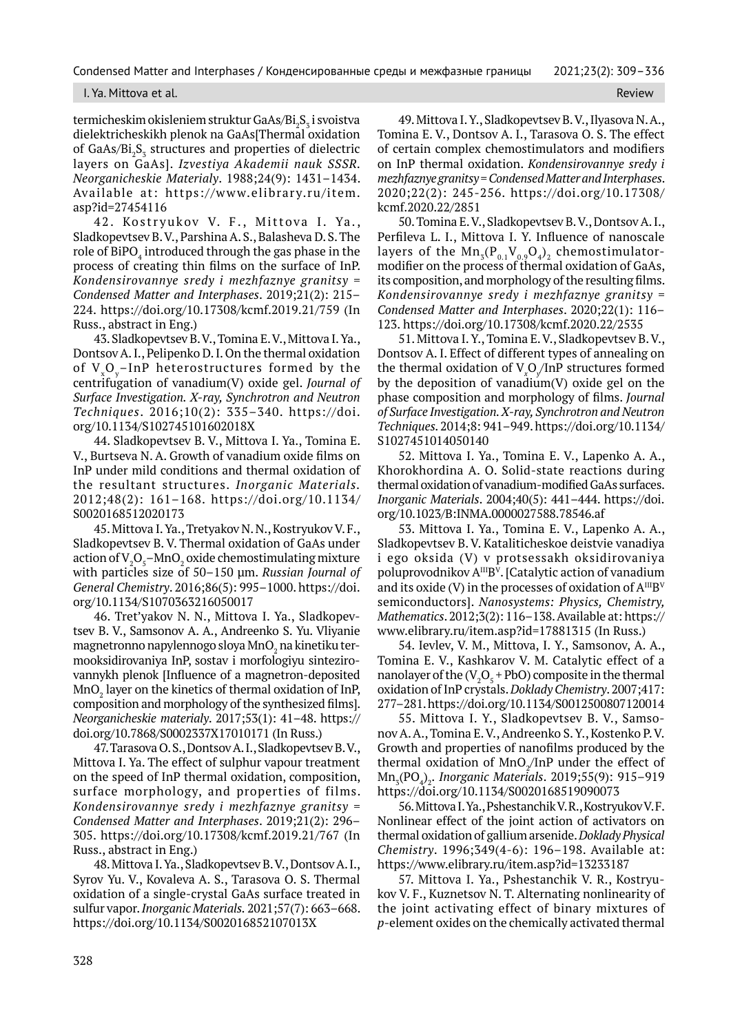I. Ya. Mittova et al. Review and the contract of the contract of the contract of the contract of the contract of the contract of the contract of the contract of the contract of the contract of the contract of the contract

termicheskim okisleniem struktur GaAs/Bi<sub>2</sub>S<sub>3</sub> i svoistva dielektricheskikh plenok na GaAs[Thermal oxidation of GaAs/ $Bi_2S_3$  structures and properties of dielectric layers on GaAs]. *Izvestiya Akademii nauk SSSR. Neorganicheskie Materialy*. 1988;24(9): 1431–1434. Available at: https://www.elibrary.ru/item. asp?id=27454116

42. Kostryukov V. F., Mittova I. Ya., Sladkopevtsev B. V., Parshina A. S., Balasheva D. S. The role of BiPO $_{\scriptscriptstyle 4}$  introduced through the gas phase in the process of creating thin films on the surface of InP. *Kondensirovannye sredy i mezhfaznye granitsy* = *Condensed Matter and Interphases*. 2019;21(2): 215– 224. https://doi.org/10.17308/kcmf.2019.21/759 (In Russ., abstract in Eng.)

43. Sladkopevtsev B. V., Tomina E. V., Mittova I. Ya., Dontsov A. I., Pelipenko D. I. On the thermal oxidation of V<sub>vOy</sub>-InP heterostructures formed by the centrifugation of vanadium(V) oxide gel. *Journal of Surface Investigation. X-ray, Synchrotron and Neutron Techniques*. 2016;10(2): 335–340. https://doi. org/10.1134/S102745101602018X

44. Sladkopevtsev B. V., Mittova I. Ya., Tomina E. V., Burtseva N. A. Growth of vanadium oxide films on InP under mild conditions and thermal oxidation of the resultant structures. *Inorganic Materials.* 2012;48(2): 161–168. https://doi.org/10.1134/ S0020168512020173

45. Mittova I. Ya., Tretyakov N. N., Kostryukov V. F., Sladkopevtsev B. V. Thermal oxidation of GaAs under action of  $V_2O_5$ –Mn $O_2$  oxide chemostimulating mixture with particles size of 50–150 μm. *Russian Journal of General Chemistry*. 2016;86(5): 995–1000. https://doi. org/10.1134/S1070363216050017

46. Tret'yakov N. N., Mittova I. Ya., Sladkopevtsev B. V., Samsonov A. A., Andreenko S. Yu. Vliyanie magnetronno napylennogo sloya Mn $\mathrm{O}_2$ na kinetiku termooksidirovaniya InP, sostav i morfologiyu sintezirovannykh plenok [Influence of a magnetron-deposited  $\mathsf{MnO}_2$  layer on the kinetics of thermal oxidation of InP, composition and morphology of the synthesized films]. *Neorganicheskie materialy*. 2017;53(1): 41–48. https:// doi.org/10.7868/S0002337X17010171 (In Russ.)

47. Tarasova O. S., Dontsov A. I., Sladkopevtsev B. V., Mittova I. Ya. The effect of sulphur vapour treatment on the speed of InP thermal oxidation, composition, surface morphology, and properties of films. *Kondensirovannye sredy i mezhfaznye granitsy* = *Condensed Matter and Interphases*. 2019;21(2): 296– 305. https://doi.org/10.17308/kcmf.2019.21/767 (In Russ., abstract in Eng.)

48. Mittova I. Ya., Sladkopevtsev B. V., Dontsov A. I., Syrov Yu. V., Kovaleva A. S., Tarasova O. S. Thermal oxidation of a single-crystal GaAs surface treated in sulfur vapor. *Inorganic Materials.* 2021;57(7): 663–668. https://doi.org/10.1134/S002016852107013X

49. Mittova I. Y., Sladkopevtsev B. V., Ilyasova N. A., Tomina E. V., Dontsov A. I., Tarasova O. S. The effect of certain complex chemostimulators and modifiers on InP thermal oxidation. *Kondensirovannye sredy i mezhfaznye granitsy* = *Condensed Matter and Interphases*. 2020;22(2): 245-256. https://doi.org/10.17308/ kcmf.2020.22/2851

50. Tomina E. V., Sladkopevtsev B. V., Dontsov A. I., Perfileva L. I., Mittova I. Y. Influence of nanoscale layers of the  $Mn_{5}(P_{0.1}V_{0.9}O_{4})$ <sub>2</sub> chemostimulatormodifier on the process of thermal oxidation of GaAs, its composition, and morphology of the resulting films. *Kondensirovannye sredy i mezhfaznye granitsy* = *Condensed Matter and Interphases*. 2020;22(1): 116– 123. https://doi.org/10.17308/kcmf.2020.22/2535

51. Mittova I. Y., Tomina E. V., Sladkopevtsev B. V., Dontsov A. I. Effect of different types of annealing on the thermal oxidation of V*<sup>x</sup>* O*y* /InP structures formed by the deposition of vanadium(V) oxide gel on the phase composition and morphology of films. *Journal of Surface Investigation. X-ray, Synchrotron and Neutron Techniques.* 2014;8: 941–949. https://doi.org/10.1134/ S1027451014050140

52. Mittova I. Ya., Tomina E. V., Lapenko A. A., Khorokhordina A. O. Solid-state reactions during thermal oxidation of vanadium-modified GaAs surfaces. *Inorganic Materials*. 2004;40(5): 441–444. https://doi. org/10.1023/B:INMA.0000027588.78546.af

53. Mittova I. Ya., Tomina E. V., Lapenko A. A., Sladkopevtsev B. V. Kataliticheskoe deistvie vanadiya i ego oksida (V) v protsessakh oksidirovaniya poluprovodnikov A<sup>III</sup>B<sup>v</sup>. [Catalytic action of vanadium and its oxide (V) in the processes of oxidation of  $A^{III}B^{V}$ semiconductors]. *Nanosystems: Physics, Chemistry, Mathematics*. 2012;3(2): 116–138. Available at: https:// www.elibrary.ru/item.asp?id=17881315 (In Russ.)

54. Ievlev, V. M., Mittova, I. Y., Samsonov, A. A., Tomina E. V., Kashkarov V. M. Catalytic effect of a nanolayer of the  $(V_2O_5 + PbO)$  composite in the thermal oxidation of InP crystals. *Doklady Chemistry*. 2007;417: 277–281. https://doi.org/10.1134/S0012500807120014

55. Mittova I. Y., Sladkopevtsev B. V., Samsonov A. A., Tomina E. V., Andreenko S. Y., Kostenko P. V. Growth and properties of nanofilms produced by the thermal oxidation of MnO<sub>2</sub>/InP under the effect of Mn3 (PO4 )2 . *Inorganic Materials*. 2019;55(9): 915–919 https://doi.org/10.1134/S0020168519090073

56. Mittova I. Ya., Pshestanchik V. R., Kostryukov V. F. Nonlinear effect of the joint action of activators on thermal oxidation of gallium arsenide. *Doklady Physical Chemistry*. 1996;349(4-6): 196–198. Available at: https://www.elibrary.ru/item.asp?id=13233187

57. Mittova I. Ya., Pshestanchik V. R., Kostryukov V. F., Kuznetsov N. T. Alternating nonlinearity of the joint activating effect of binary mixtures of *p*-element oxides on the chemically activated thermal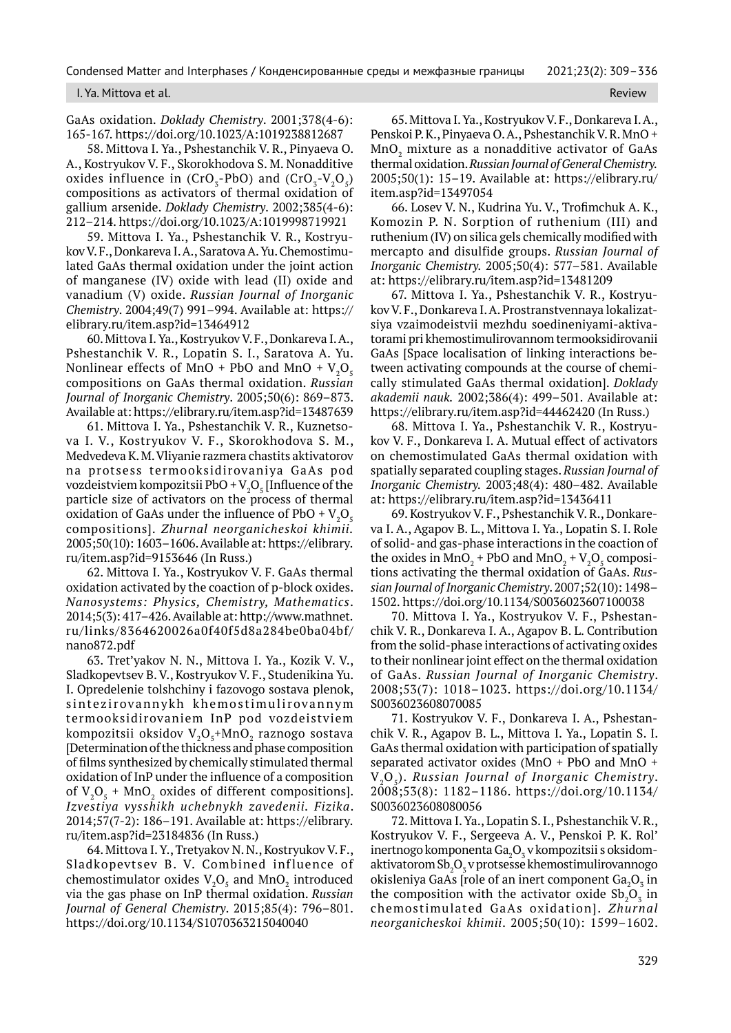I. Ya. Mittova et al. Review

GаAs oxidation. *Doklady Chemistry*. 2001;378(4-6): 165-167. https://doi.org/10.1023/A:1019238812687

58. Mittova I. Ya., Pshestanchik V. R., Pinyaeva O. A., Kostryukov V. F., Skorokhodova S. M. Nonadditive oxides influence in  $(CrO<sub>5</sub>-PbO)$  and  $(CrO<sub>5</sub>-V<sub>2</sub>O<sub>5</sub>)$ compositions as activators of thermal oxidation of gallium arsenide. *Doklady Chemistry*. 2002;385(4-6): 212–214. https://doi.org/10.1023/A:1019998719921

59. Mittova I. Ya., Pshestanchik V. R., Kostryukov V. F., Donkareva I. A., Saratova A. Yu. Chemostimulated GaAs thermal oxidation under the joint action of manganese (IV) oxide with lead (II) oxide and vanadium (V) oxide. *Russian Journal of Inorganic Chemistry*. 2004;49(7) 991–994. Available at: https:// elibrary.ru/item.asp?id=13464912

60. Mittova I. Ya., Kostryukov V. F., Donkareva I. A., Pshestanchik V. R., Lopatin S. I., Saratova A. Yu. Nonlinear effects of MnO + PbO and MnO +  $\rm V_2O_5$ compositions on GaAs thermal oxidation. *Russian Journal of Inorganic Chemistry*. 2005;50(6): 869–873. Available at: https://elibrary.ru/item.asp?id=13487639

61. Mittova I. Ya., Pshestanchik V. R., Kuznetsova I. V., Kostryukov V. F., Skorokhodova S. M., Medvedeva K. M. Vliyanie razmera chastits aktivatorov na protsess termooksidirovaniya GaAs pod vozdeistviem kompozitsii PbO + V $_{2}$ O $_{5}$  [Influence of the particle size of activators on the process of thermal oxidation of GaAs under the influence of PbO +  $\rm V_2O_5$ compositions]. *Zhurnal neorganicheskoi khimii.* 2005;50(10): 1603–1606. Available at: https://elibrary. ru/item.asp?id=9153646 (In Russ.)

62. Mittova I. Ya., Kostryukov V. F. GaAs thermal oxidation activated by the coaction of p-block oxides. *Nanosystems: Physics, Chemistry, Mathematics*. 2014;5(3): 417–426. Available at: http://www.mathnet. ru/links/8364620026a0f40f5d8a284be0ba04bf/ nano872.pdf

63. Tret'yakov N. N., Mittova I. Ya., Kozik V. V., Sladkopevtsev B. V., Kostryukov V. F., Studenikina Yu. I. Opredelenie tolshchiny i fazovogo sostava plenok, s intezirov annykh khemostimulirov annym termooksidirovaniem InP pod vozdeistviem kompozitsii oksidov V $_{2}$ O $_{5}$ +MnO $_{2}$  raznogo sostava [Determination of the thickness and phase composition of films synthesized by chemically stimulated thermal oxidation of InP under the influence of a composition of  $V_2O_5$  + MnO<sub>2</sub> oxides of different compositions]. *Izvestiya vysshikh uchebnykh zavedenii. Fizika*. 2014;57(7-2): 186–191. Available at: https://elibrary. ru/item.asp?id=23184836 (In Russ.)

64. Mittova I. Y., Tretyakov N. N., Kostryukov V. F., Sladkopevtsev B. V. Combined influence of chemostimulator oxides  $V_2O_5$  and  $MnO_2$  introduced via the gas phase on InP thermal oxidation. *Russian Journal of General Chemistry*. 2015;85(4): 796–801. https://doi.org/10.1134/S1070363215040040

65. Mittova I. Ya., Kostryukov V. F., Donkareva I. A., Penskoi P. K., Pinyaeva O. A., Pshestanchik V. R. MnO +  $\rm MnO_{_2}$  mixture as a nonadditive activator of GaAs thermal oxidation. *Russian Journal of General Chemistry.* 2005;50(1): 15–19. Available at: https://elibrary.ru/ item.asp?id=13497054

66. Losev V. N., Kudrina Yu. V., Trofimchuk A. K., Komozin P. N. Sorption of ruthenium (III) and ruthenium (IV) on silica gels chemically modified with mercapto and disulfide groups. *Russian Journal of Inorganic Chemistry.* 2005;50(4): 577–581. Available at: https://elibrary.ru/item.asp?id=13481209

67. Mittova I. Ya., Pshestanchik V. R., Kostryukov V. F., Donkareva I. A. Prostranstvennaya lokalizatsiya vzaimodeistvii mezhdu soedineniyami-aktivatorami pri khemostimulirovannom termooksidirovanii GaAs [Space localisation of linking interactions between activating compounds at the course of chemically stimulated GaAs thermal oxidation]. *Doklady akademii nauk.* 2002;386(4): 499–501. Available at: https://elibrary.ru/item.asp?id=44462420 (In Russ.)

68. Mittova I. Ya., Pshestanchik V. R., Kostryukov V. F., Donkareva I. A. Mutual effect of activators on chemostimulated GaAs thermal oxidation with spatially separated coupling stages. *Russian Journal of Inorganic Chemistry.* 2003;48(4): 480–482. Available at: https://elibrary.ru/item.asp?id=13436411

69. Kostryukov V. F., Pshestanchik V. R., Donkareva I. A., Agapov B. L., Mittova I. Ya., Lopatin S. I. Role of solid- and gas-phase interactions in the coaction of the oxides in  $MnO_2$  + PbO and  $MnO_2$  +  $V_2O_5$  compositions activating the thermal oxidation of GaAs. *Russian Journal of Inorganic Chemistry*. 2007;52(10): 1498– 1502. https://doi.org/10.1134/S0036023607100038

70. Mittova I. Ya., Kostryukov V. F., Pshestanchik V. R., Donkareva I. A., Agapov B. L. Contribution from the solid-phase interactions of activating oxides to their nonlinear joint effect on the thermal oxidation of GaAs. *Russian Journal of Inorganic Chemistry*. 2008;53(7): 1018–1023. https://doi.org/10.1134/ S0036023608070085

71. Kostryukov V. F., Donkareva I. A., Pshestanchik V. R., Agapov B. L., Mittova I. Ya., Lopatin S. I. GaAs thermal oxidation with participation of spatially separated activator oxides (MnO + PbO and MnO + V<sub>2</sub>O<sub>5</sub>). *Russian Journal of Inorganic Chemistry*. 2008;53(8): 1182–1186. https://doi.org/10.1134/ S0036023608080056

72. Mittova I. Ya., Lopatin S. I., Pshestanchik V. R., Kostryukov V. F., Sergeeva A. V., Penskoi P. K. Rol' inertnogo komponenta Ga $_2$ O $_3$  v kompozitsii s oksidomaktivatorom Sb ${_{2}O}_{3}$ v protsesse khemostimulirovannogo okisleniya GaAs [role of an inert component Ga $_2\rm O_3$  in the composition with the activator oxide  $Sb_2O_3$  in chemostimulated GaAs oxidation]. *Zhurnal neorganicheskoi khimii*. 2005;50(10): 1599–1602.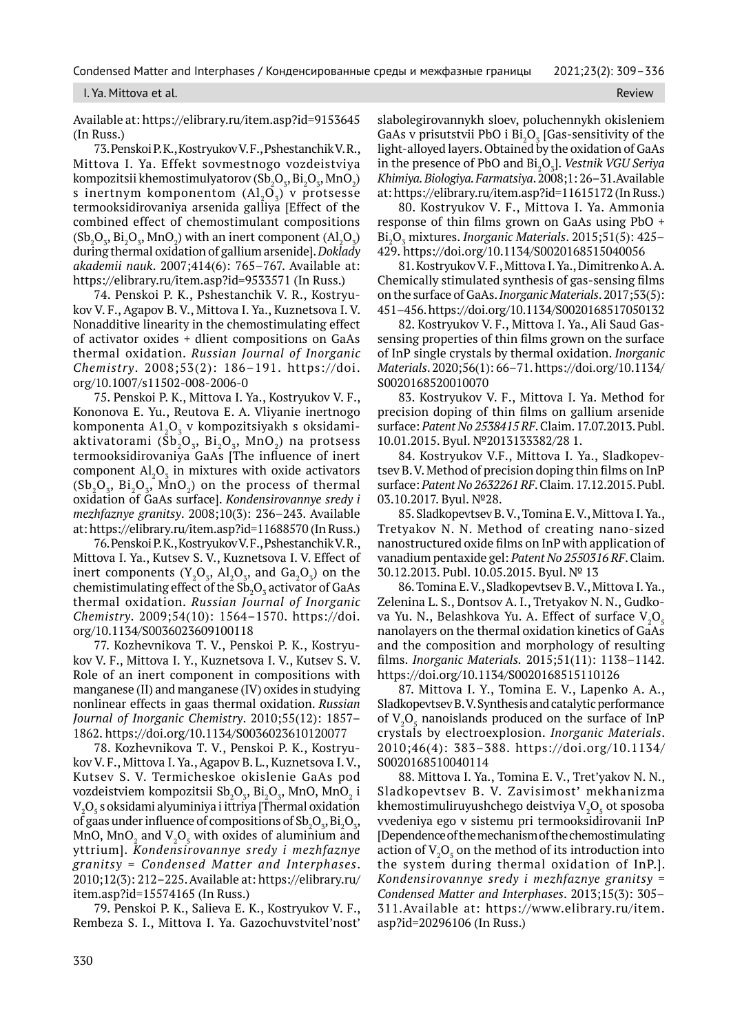I. Ya. Mittova et al. Review and the contract of the contract of the contract of the contract of the contract of the contract of the contract of the contract of the contract of the contract of the contract of the contract

Available at: https://elibrary.ru/item.asp?id=9153645 (In Russ.)

73. Penskoi P. K., Kostryukov V. F., Pshestanchik V. R., Mittova I. Ya. Effekt sovmestnogo vozdeistviya kompozitsii khemostimulyatorov (Sb $_{2}$ O $_{3}$ , Bi $_{2}$ O $_{3}$ , MnO $_{2}$ ) s inertnym komponentom  $(Al_2O_3)$  v protsesse termooksidirovaniya arsenida galliya [Effect of the combined effect of chemostimulant compositions  $(Sb_2O_3, Bi_2O_3, MnO_2)$  with an inert component  $(Al_2O_3)$ during thermal oxidation of gallium arsenide]. *Doklady akademii nauk*. 2007;414(6): 765–767. Available at: https://elibrary.ru/item.asp?id=9533571 (In Russ.)

74. Penskoi P. K., Pshestanchik V. R., Kostryukov V. F., Agapov B. V., Mittova I. Ya., Kuznetsova I. V. Nonadditive linearity in the chemostimulating effect of activator oxides + dlient compositions on GaAs thermal oxidation. *Russian Journal of Inorganic Chemistry*. 2008;53(2): 186–191. https://doi. org/10.1007/s11502-008-2006-0

75. Penskoi P. K., Mittova I. Ya., Kostryukov V. F., Kononova E. Yu., Reutova E. A. Vliyanie inertnogo komponenta A $1\raisebox{0.15ex}{\scriptsize_{}}_2$ 0 kompozitsiyakh s oksidamiaktivatorami ( $\overline{Sb}_2O_3$ ,  $Bi_2O_3$ ,  $MnO_2$ ) na protsess termooksidirovaniya GaAs [The influence of inert component  $\text{Al}_2\text{O}_3$  in mixtures with oxide activators  $(Sb_2O_3, Bi_2O_3, MnO_2)$  on the process of thermal oxidation of GaAs surface]. *Kondensirovannye sredy i mezhfaznye granitsy*. 2008;10(3): 236–243. Available at: https://elibrary.ru/item.asp?id=11688570 (In Russ.)

76. Penskoi P. K., Kostryukov V. F., Pshestanchik V. R., Mittova I. Ya., Kutsev S. V., Kuznetsova I. V. Effect of inert components  $(Y_2O_3, A1_2O_3,$  and  $Ga_2O_3)$  on the chemistimulating effect of the  $\mathrm{Sb}_2\mathrm{O}_3$  activator of GaAs thermal oxidation. *Russian Journal of Inorganic Chemistry*. 2009;54(10): 1564–1570. https://doi. org/10.1134/S0036023609100118

77. Kozhevnikova T. V., Penskoi P. K., Kostryukov V. F., Mittova I. Y., Kuznetsova I. V., Kutsev S. V. Role of an inert component in compositions with manganese (II) and manganese (IV) oxides in studying nonlinear effects in gaas thermal oxidation. *Russian Journal of Inorganic Chemistry*. 2010;55(12): 1857– 1862. https://doi.org/10.1134/S0036023610120077

78. Kozhevnikova T. V., Penskoi P. K., Kostryukov V. F., Mittova I. Ya., Agapov B. L., Kuznetsova I. V., Kutsev S. V. Termicheskoe okislenie GaAs pod vozdeistviem kompozitsii Sb ${_{2}O_{_3}}$ , Bi ${_{2}O_{_3}}$ , MnO, MnO ${_{2}}$  i  $\rm V_2O_5$  s oksidami alyuminiya i ittriya [Thermal oxidation of gaas under influence of compositions of  $\mathrm{Sb}_2\mathrm{O}_3, \mathrm{Bi}_2\mathrm{O}_3,$ MnO,  $MnO_2$  and  $V_2O_5$  with oxides of aluminium and yttrium]. *Kondensirovannye sredy i mezhfaznye granitsy* = *Condensed Matter and Interphases*. 2010;12(3): 212–225. Available at: https://elibrary.ru/ item.asp?id=15574165 (In Russ.)

79. Penskoi P. K., Salieva E. K., Kostryukov V. F., Rembeza S. I., Mittova I. Ya. Gazochuvstvitel'nost' slabolegirovannykh sloev, poluchennykh okisleniem GaAs v prisutstvii PbO i  $\overline{\text{Bi}_2\text{O}_3}$  [Gas-sensitivity of the light-alloyed layers. Obtained by the oxidation of GaAs in the presence of PbO and Bi<sub>2</sub>O<sub>3</sub>]. *Vestnik VGU Seriya Khimiya. Biologiya. Farmatsiya*. 2008;1: 26–31.Available at: https://elibrary.ru/item.asp?id=11615172 (In Russ.)

80. Kostryukov V. F., Mittova I. Ya. Ammonia response of thin films grown on GaAs using PbO + Bi2 O3 mixtures. *Inorganic Materials*. 2015;51(5): 425– 429. https://doi.org/10.1134/S0020168515040056

81. Kostryukov V. F., Mittova I. Ya., Dimitrenko A. A. Chemically stimulated synthesis of gas-sensing films on the surface of GaAs. *Inorganic Materials*. 2017;53(5): 451–456. https://doi.org/10.1134/S0020168517050132

82. Kostryukov V. F., Mittova I. Ya., Ali Saud Gassensing properties of thin films grown on the surface of InP single crystals by thermal oxidation. *Inorganic Materials*. 2020;56(1): 66–71. https://doi.org/10.1134/ S0020168520010070

83. Kostryukov V. F., Mittova I. Ya. Method for precision doping of thin films on gallium arsenide surface: *Patent No 2538415 RF*. Claim. 17.07.2013. Publ. 10.01.2015. Byul. №2013133382/28 1.

84. Kostryukov V.F., Mittova I. Ya., Sladkopevtsev B. V. Method of precision doping thin films on InP surface: *Patent No 2632261 RF*. Claim. 17.12.2015. Publ. 03.10.2017. Byul. №28.

85. Sladkopevtsev B. V., Tomina E. V., Mittova I. Ya., Tretyakov N. N. Method of creating nano-sized nanostructured oxide films on InP with application of vanadium pentaxide gel: *Patent No 2550316 RF*. Claim. 30.12.2013. Publ. 10.05.2015. Byul. № 13

86. Tomina E. V., Sladkopevtsev B. V., Mittova I. Ya., Zelenina L. S., Dontsov A. I., Tretyakov N. N., Gudkova Yu. N., Belashkova Yu. A. Effect of surface  $\rm V_{_2}O_{_5}$ nanolayers on the thermal oxidation kinetics of GaAs and the composition and morphology of resulting films. *Inorganic Materials.* 2015;51(11): 1138–1142. https://doi.org/10.1134/S0020168515110126

87. Mittova I. Y., Tomina E. V., Lapenko A. A., Sladkopevtsev B. V. Synthesis and catalytic performance of  $V_2O_5$  nanoislands produced on the surface of InP crystals by electroexplosion. *Inorganic Materials*. 2010;46(4): 383–388. https://doi.org/10.1134/ S0020168510040114

88. Mittova I. Ya., Tomina E. V., Tret'yakov N. N., Sladkopevtsev B. V. Zavisimost' mekhanizma khemostimuliruyushchego deistviya  $\mathrm{V}_{\mathrm{2}}\mathrm{O}_{\mathrm{5}}$  ot sposoba vvedeniya ego v sistemu pri termooksidirovanii InP [Dependence of the mechanism of the chemostimulating action of  $V_2O_5$  on the method of its introduction into the system during thermal oxidation of InP.]. *Kondensirovannye sredy i mezhfaznye granitsy* = *Condensed Matter and Interphases*. 2013;15(3): 305– 311.Available at: https://www.elibrary.ru/item. asp?id=20296106 (In Russ.)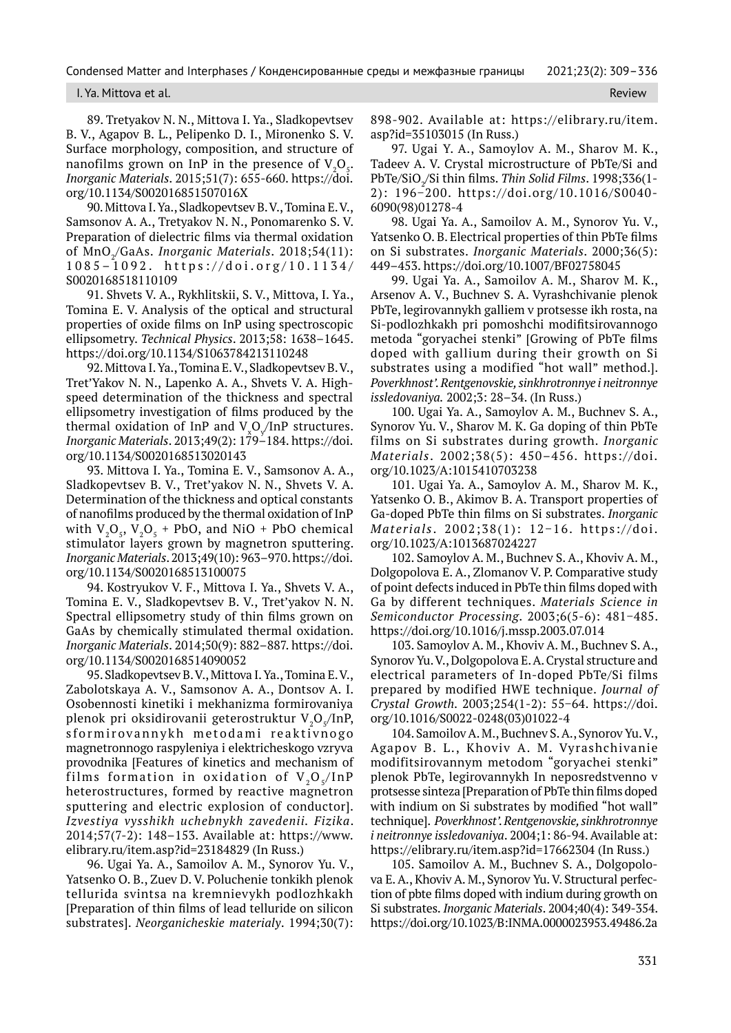#### I. Ya. Mittova et al. Review

89. Tretyakov N. N., Mittova I. Ya., Sladkopevtsev B. V., Agapov B. L., Pelipenko D. I., Mironenko S. V. Surface morphology, composition, and structure of nanofilms grown on InP in the presence of  $V_2O_5$ . *Inorganic Materials*. 2015;51(7): 655-660. https://doi. org/10.1134/S002016851507016X

90. Mittova I. Ya., Sladkopevtsev B. V., Tomina E. V., Samsonov A. A., Tretyakov N. N., Ponomarenko S. V. Preparation of dielectric films via thermal oxidation of MnO2 /GaAs. *Inorganic Materials*. 2018;54(11): 1085–1092. https://doi.org/10.1134/ S0020168518110109

91. Shvets V. A., Rykhlitskii, S. V., Mittova, I. Yа., Tomina E. V. Analysis of the optical and structural properties of oxide films on InP using spectroscopic ellipsometry. *Technical Physics*. 2013;58: 1638–1645. https://doi.org/10.1134/S1063784213110248

92. Mittova I. Ya., Tomina E. V., Sladkopevtsev B. V., Tret'Yakov N. N., Lapenko A. A., Shvets V. A. Highspeed determination of the thickness and spectral ellipsometry investigation of films produced by the thermal oxidation of InP and  $\rm V_{x}O_{y}/InP$  structures. *Inorganic Materials*. 2013;49(2): 179–184. https://doi. org/10.1134/S0020168513020143

93. Mittova I. Ya., Tomina E. V., Samsonov A. A., Sladkopevtsev B. V., Tret'yakov N. N., Shvets V. A. Determination of the thickness and optical constants of nanofilms produced by the thermal oxidation of InP with  $V_2O_5$ ,  $V_2O_5$  + PbO, and NiO + PbO chemical stimulator layers grown by magnetron sputtering. *Inorganic Materials*. 2013;49(10): 963–970. https://doi. org/10.1134/S0020168513100075

94. Kostryukov V. F., Mittova I. Ya., Shvets V. A., Tomina E. V., Sladkopevtsev B. V., Tret'yakov N. N. Spectral ellipsometry study of thin films grown on GaAs by chemically stimulated thermal oxidation. *Inorganic Materials*. 2014;50(9): 882–887. https://doi. org/10.1134/S0020168514090052

95. Sladkopevtsev B. V., Mittova I. Ya., Tomina E. V., Zabolotskaya A. V., Samsonov A. A., Dontsov A. I. Osobennosti kinetiki i mekhanizma formirovaniya plenok pri oksidirovanii geterostruktur V $_{2}$ O $_{\rm s}$ /InP, s for mirovannykh metodami reaktivnogo magnetronnogo raspyleniya i elektricheskogo vzryva provodnika [Features of kinetics and mechanism of films formation in oxidation of  $V_2O_f/InP$ heterostructures, formed by reactive magnetron sputtering and electric explosion of conductor]. *Izvestiya vysshikh uchebnykh zavedenii. Fizika*. 2014;57(7-2): 148–153. Available at: https://www. elibrary.ru/item.asp?id=23184829 (In Russ.)

96. Ugai Ya. A., Samoilov A. M., Synorov Yu. V., Yatsenko O. B., Zuev D. V. Poluchenie tonkikh plenok tellurida svintsa na kremnievykh podlozhkakh [Preparation of thin films of lead telluride on silicon substrates]. *Neorganicheskie materialy*. 1994;30(7):

898-902. Available at: https://elibrary.ru/item. asp?id=35103015 (In Russ.)

97. Ugai Y. A., Samoylov A. M., Sharov M. K., Tadeev A. V. Crystal microstructure of PbTe/Si and PbTe/SiO2 /Si thin films. *Thin Solid Films*. 1998;336(1- 2): 196−200. https://doi.org/10.1016/S0040- 6090(98)01278-4

98. Ugai Ya. A., Samoilov A. M., Synorov Yu. V., Yatsenko O. B. Electrical properties of thin PbTe films on Si substrates. *Inorganic Materials*. 2000;36(5): 449–453. https://doi.org/10.1007/BF02758045

99. Ugai Ya. A., Samoilov A. M., Sharov M. K., Arsenov A. V., Buchnev S. A. Vyrashchivanie plenok PbTe, legirovannykh galliem v protsesse ikh rosta, na Si-podlozhkakh pri pomoshchi modifitsirovannogo metoda "goryachei stenki" [Growing of PbTe films doped with gallium during their growth on Si substrates using a modified "hot wall" method.]. *Poverkhnost'. Rentgenovskie, sinkhrotronnye i neitronnye issledovaniya.* 2002;3: 28–34. (In Russ.)

100. Ugai Ya. A., Samoylov A. M., Buchnev S. A., Synorov Yu. V., Sharov M. K. Ga doping of thin PbTe films on Si substrates during growth. *Inorganic Materials*. 2002;38(5): 450–456. https://doi. org/10.1023/A:1015410703238

101. Ugai Ya. A., Samoylov A. M., Sharov M. K., Yatsenko O. B., Akimov B. A. Transport properties of Ga-doped PbTe thin films on Si substrates. *Inorganic Materials* . 2002;38(1): 12−16. https://doi. org/10.1023/A:1013687024227

102. Samoylov A. M., Buchnev S. A., Khoviv A. M., Dolgopolova E. A., Zlomanov V. P. Comparative study of point defects induced in PbTe thin films doped with Ga by different techniques. *Materials Science in Semiconductor Processing*. 2003;6(5-6): 481−485. https://doi.org/10.1016/j.mssp.2003.07.014

103. Samoylov A. M., Khoviv A. M., Buchnev S. A., Synorov Yu. V., Dolgopolova E. A. Crystal structure and electrical parameters of In-doped PbTe/Si films prepared by modified HWE technique. *Journal of Crystal Growth.* 2003;254(1-2): 55−64. https://doi. org/10.1016/S0022-0248(03)01022-4

104. Samoilov A. M., Buchnev S. A., Synorov Yu. V., Agapov B. L., Khoviv A. M. Vyrashchivanie modifitsirovannym metodom "goryachei stenki" plenok PbTe, legirovannykh In neposredstvenno v protsesse sinteza [Рreparation of PbTe thin films doped with indium on Si substrates by modified "hot wall" technique]. *Poverkhnost'. Rentgenovskie, sinkhrotronnye i neitronnye issledovaniya*. 2004;1: 86-94. Available at: https://elibrary.ru/item.asp?id=17662304 (In Russ.)

105. Samoilov A. M., Buchnev S. A., Dolgopolova E. A., Khoviv A. M., Synorov Yu. V. Structural perfection of pbte films doped with indium during growth on Si substrates. *Inorganic Materials*. 2004;40(4): 349-354. https://doi.org/10.1023/B:INMA.0000023953.49486.2a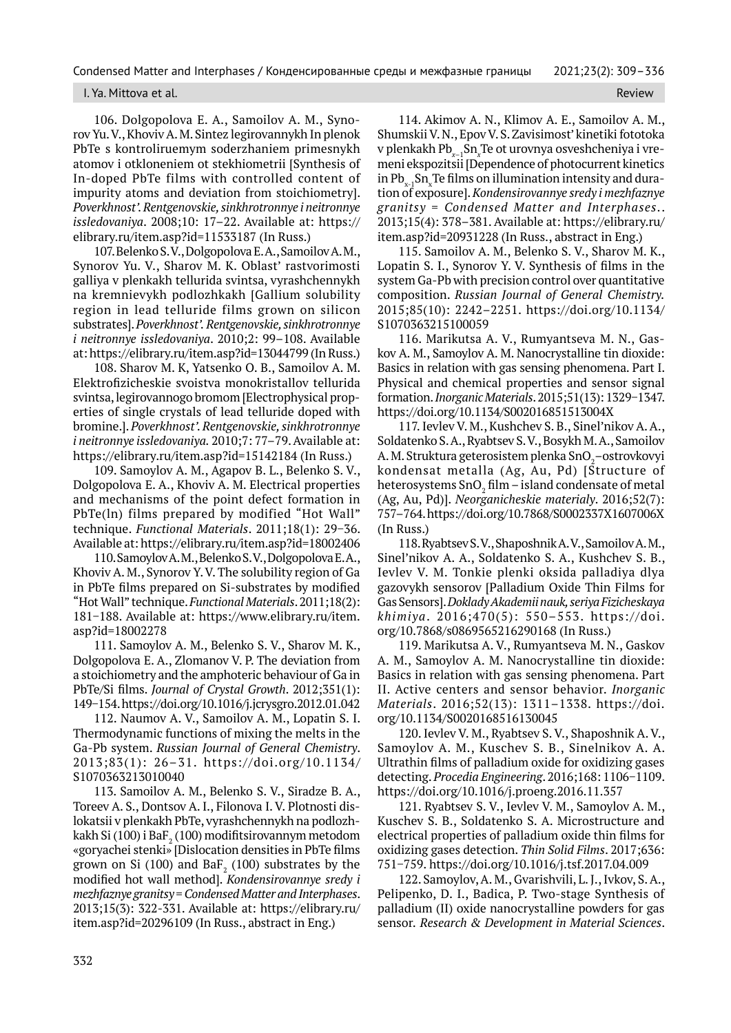#### I. Ya. Mittova et al. Review

106. Dolgopolova E. A., Samoilov A. M., Synorov Yu. V., Khoviv A. M. Sintez legirovannykh In plenok PbTe s kontroliruemym soderzhaniem primesnykh atomov i otkloneniem ot stekhiometrii [Synthesis of In-doped PbTe films with controlled content of impurity atoms and deviation from stoichiometry]. *Poverkhnost'. Rentgenovskie, sinkhrotronnye i neitronnye issledovaniya*. 2008;10: 17–22. Available at: https:// elibrary.ru/item.asp?id=11533187 (In Russ.)

107. Belenko S. V., Dolgopolova E. A., Samoilov A. M., Synorov Yu. V., Sharov M. K. Oblast' rastvorimosti galliya v plenkakh tellurida svintsa, vyrashchennykh na kremnievykh podlozhkakh [Gallium solubility region in lead telluride films grown on silicon substrates]. *Poverkhnost'. Rentgenovskie, sinkhrotronnye i neitronnye issledovaniya*. 2010;2: 99–108. Available at: https://elibrary.ru/item.asp?id=13044799 (In Russ.)

108. Sharov M. K, Yatsenko O. B., Samoilov A. M. Elektrofizicheskie svoistva monokristallov tellurida svintsa, legirovannogo bromom [Electrophysical properties of single crystals of lead telluride doped with bromine.]. *Poverkhnost'. Rentgenovskie, sinkhrotronnye i neitronnye issledovaniya.* 2010;7: 77–79. Available at: https://elibrary.ru/item.asp?id=15142184 (In Russ.)

109. Samoylov A. M., Agapov B. L., Belenko S. V., Dolgopolova E. A., Khoviv A. M. Electrical properties and mechanisms of the point defect formation in PbTe(ln) films prepared by modified "Hot Wall" technique. *Functional Materials*. 2011;18(1): 29−36. Available at: https://elibrary.ru/item.asp?id=18002406

110. Samoylov A. M., Belenko S. V., Dolgopolova E. A., Khoviv A. M., Synorov Y. V. The solubility region of Ga in PbTe films prepared on Si-substrates by modified "Hot Wall" technique. *Functional Materials*. 2011;18(2): 181−188. Available at: https://www.elibrary.ru/item. asp?id=18002278

111. Samoylov A. M., Belenko S. V., Sharov M. K., Dolgopolova E. A., Zlomanov V. P. The deviation from a stoichiometry and the amphoteric behaviour of Ga in PbTe/Si films. *Journal of Crystal Growth*. 2012;351(1): 149−154. https://doi.org/10.1016/j.jcrysgro.2012.01.042

112. Naumov A. V., Samoilov A. M., Lopatin S. I. Thermodynamic functions of mixing the melts in the Ga-Pb system. *Russian Journal of General Chemistry*. 2013;83(1): 26–31. https://doi.org/10.1134/ S1070363213010040

113. Samoilov A. M., Belenko S. V., Siradze B. A., Toreev A. S., Dontsov A. I., Filonova I. V. Plotnosti dislokatsii v plenkakh PbTe, vyrashchennykh na podlozhkakh Si (100) i Ba $\mathrm{F}_\mathrm{2}(100)$  modifitsirovannym metodom «goryachei stenki» [Dislocation densities in PbTe films grown on Si (100) and Ba $F_2$  (100) substrates by the modified hot wall method]. *Kondensirovannye sredy i mezhfaznye granitsy* = *Condensed Matter and Interphases*. 2013;15(3): 322-331. Available at: https://elibrary.ru/ item.asp?id=20296109 (In Russ., abstract in Eng.)

114. Akimov A. N., Klimov A. E., Samoilov A. M., Shumskii V. N., Epov V. S. Zavisimost' kinetiki fototoka v plenkakh Pb*x*–1Sn*<sup>x</sup>* Te ot urovnya osveshcheniya i vremeni ekspozitsii [Dependence of photocurrent kinetics in  $\rm Pb_{x\text{-}1}Sn_{x}$ Te films on illumination intensity and duration of exposure]. *Kondensirovannye sredy i mezhfaznye granitsy* = *Condensed Matter and Interphases*.. 2013;15(4): 378–381. Available at: https://elibrary.ru/ item.asp?id=20931228 (In Russ., abstract in Eng.)

115. Samoilov A. M., Belenko S. V., Sharov M. K., Lopatin S. I., Synorov Y. V. Synthesis of films in the system Ga-Pb with precision control over quantitative composition. *Russian Journal of General Chemistry.* 2015;85(10): 2242–2251. https://doi.org/10.1134/ S1070363215100059

116. Marikutsa A. V., Rumyantseva M. N., Gaskov A. M., Samoylov A. M. Nanocrystalline tin dioxide: Basics in relation with gas sensing phenomena. Part I. Physical and chemical properties and sensor signal formation. *Inorganic Materials*. 2015;51(13): 1329−1347. https://doi.org/10.1134/S002016851513004X

117. Ievlev V. M., Kushchev S. B., Sinel'nikov A. A., Soldatenko S. A., Ryabtsev S. V., Bosykh M. A., Samoilov A. M. Struktura geterosistem plenka SnO $_2^{\phantom{\dag}}$ –ostrovkovyi kondensat metalla (Ag, Au, Pd) [Structure of heterosystems SnO $_{\textrm{\tiny{2}}}$  film – island condensate of metal (Ag, Au, Pd)]. *Neorganicheskie materialy*. 2016;52(7): 757–764. https://doi.org/10.7868/S0002337X1607006X (In Russ.)

118. Ryabtsev S. V., Shaposhnik A. V., Samoilov A. M., Sinel'nikov A. A., Soldatenko S. A., Kushchev S. B., Ievlev V. M. Tonkie plenki oksida palladiya dlya gazovykh sensorov [Palladium Oxide Thin Films for Gas Sensors]. *Doklady Akademii nauk, seriya Fizicheskaya khimiya*. 2016;470(5): 550–553. https://doi. org/10.7868/s0869565216290168 (In Russ.)

119. Marikutsa A. V., Rumyantseva M. N., Gaskov A. M., Samoylov A. M. Nanocrystalline tin dioxide: Basics in relation with gas sensing phenomena. Part II. Active centers and sensor behavior. *Inorganic Materials*. 2016;52(13): 1311–1338. https://doi. org/10.1134/S0020168516130045

120. Ievlev V. M., Ryabtsev S. V., Shaposhnik A. V., Samoylov A. M., Kuschev S. B., Sinelnikov A. A. Ultrathin films of palladium oxide for oxidizing gases detecting. *Procedia Engineering*. 2016;168: 1106−1109. https://doi.org/10.1016/j.proeng.2016.11.357

121. Ryabtsev S. V., Ievlev V. M., Samoylov A. M., Kuschev S. B., Soldatenko S. A. Microstructure and electrical properties of palladium oxide thin films for oxidizing gases detection. *Thin Solid Films*. 2017;636: 751−759. https://doi.org/10.1016/j.tsf.2017.04.009

122. Samoylov, A. M., Gvarishvili, L. J., Ivkov, S. A., Pelipenko, D. I., Badica, P. Two-stage Synthesis of palladium (II) oxide nanocrystalline powders for gas sensor. *Research & Development in Material Sciences*.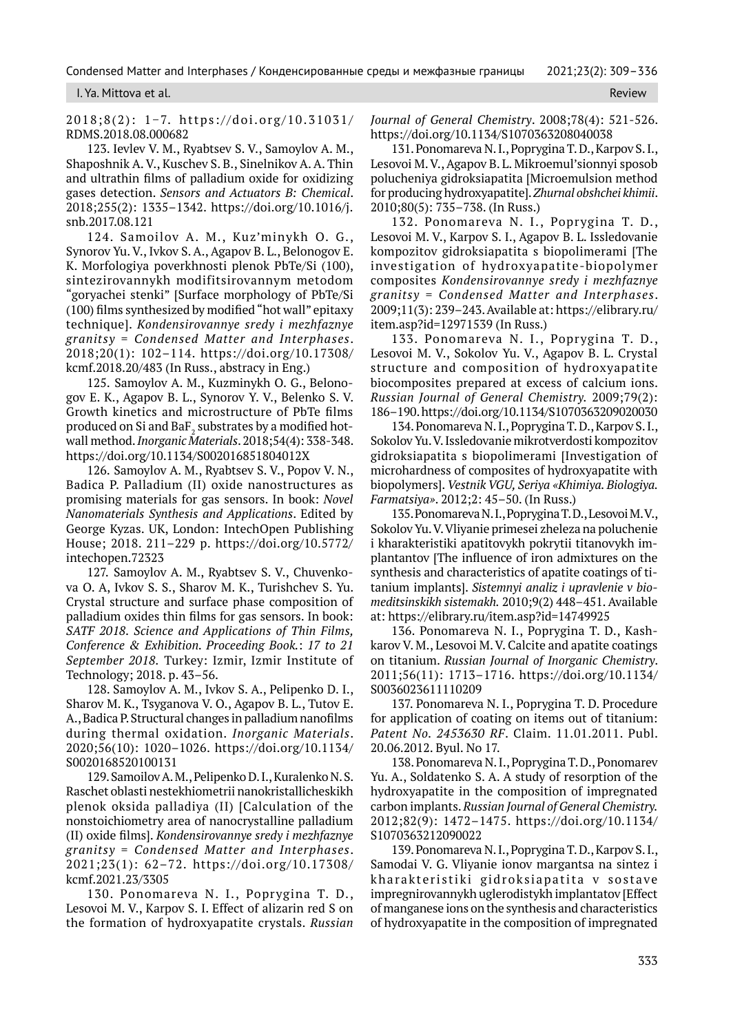#### I. Ya. Mittova et al. Review

2018;8(2): 1−7. https://doi.org/10.31031/ RDMS.2018.08.000682

123. Ievlev V. M., Ryabtsev S. V., Samoylov A. M., Shaposhnik A. V., Kuschev S. B., Sinelnikov A. A. Thin and ultrathin films of palladium oxide for oxidizing gases detection. *Sensors and Actuators B: Chemical*. 2018;255(2): 1335–1342. https://doi.org/10.1016/j. snb.2017.08.121

124. Samoilov A. M., Kuz'minykh O. G., Synorov Yu. V., Ivkov S. A., Agapov B. L., Belonogov E. K. Morfologiya poverkhnosti plenok PbTe/Si (100), sintezirovannykh modifitsirovannym metodom "goryachei stenki" [Surface morphology of PbTe/Si (100) films synthesized by modified "hot wall" epitaxy technique]. *Kondensirovannye sredy i mezhfaznye granitsy* = *Condensed Matter and Interphases*. 2018;20(1): 102–114. https://doi.org/10.17308/ kcmf.2018.20/483 (In Russ., abstracy in Eng.)

125. Samoylov A. M., Kuzminykh O. G., Belonogov E. K., Agapov B. L., Synorov Y. V., Belenko S. V. Growth kinetics and microstructure of PbTe films produced on Si and BaF $_{\rm 2}$  substrates by a modified hotwall method. *Inorganic Materials*. 2018;54(4): 338-348. https://doi.org/10.1134/S002016851804012X

126. Samoylov A. M., Ryabtsev S. V., Popov V. N., Badica P. Palladium (II) oxide nanostructures as promising materials for gas sensors. In book: *Novel Nanomaterials Synthesis and Applications*. Edited by George Kyzas. UK, London: IntechOpen Publishing House; 2018. 211–229 p. https://doi.org/10.5772/ intechopen.72323

127. Samoylov A. M., Ryabtsev S. V., Chuvenkova O. A, Ivkov S. S., Sharov M. К., Turishchev S. Yu. Crystal structure and surface phase composition of palladium oxides thin films for gas sensors. In book: *SATF 2018. Science and Applications of Thin Films, Conference & Exhibition. Proceeding Book.*: *17 to 21 September 2018.* Turkey: Izmir, Izmir Institute of Technology; 2018. p. 43–56.

128. Samoylov A. M., Ivkov S. A., Pelipenko D. I., Sharov M. K., Tsyganova V. O., Agapov B. L., Tutov E. A., Badica P. Structural changes in palladium nanofilms during thermal oxidation. *Inorganic Materials*. 2020;56(10): 1020–1026. https://doi.org/10.1134/ S0020168520100131

129. Samoilov A. M., Pelipenko D. I., Kuralenko N. S. Raschet oblasti nestekhiometrii nanokristallicheskikh plenok oksida palladiya (II) [Calculation of the nonstoichiometry area of nanocrystalline palladium (II) oxide films]. *Kondensirovannye sredy i mezhfaznye granitsy* = *Condensed Matter and Interphases*. 2021;23(1): 62–72. https://doi.org/10.17308/ kcmf.2021.23/3305

130. Ponomareva N. I., Poprygina T. D., Lesovoi M. V., Karpov S. I. Effect of alizarin red S on the formation of hydroxyapatite crystals. *Russian*  *Journal of General Chemistry*. 2008;78(4): 521-526. https://doi.org/10.1134/S1070363208040038

131. Ponomareva N. I., Poprygina T. D., Karpov S. I., Lesovoi M. V., Agapov B. L. Mikroemul'sionnyi sposob polucheniya gidroksiapatita [Microemulsion method for producing hydroxyapatite]. *Zhurnal obshchei khimii*. 2010;80(5): 735–738. (In Russ.)

132. Ponomareva N. I., Poprygina T. D., Lesovoi M. V., Karpov S. I., Agapov B. L. Issledovanie kompozitov gidroksiapatita s biopolimerami [The investigation of hydroxyapatite-biopolymer composites *Kondensirovannye sredy i mezhfaznye granitsy* = *Condensed Matter and Interphases*. 2009;11(3): 239–243. Available at: https://elibrary.ru/ item.asp?id=12971539 (In Russ.)

133. Ponomareva N. I., Poprygina T. D., Lesovoi M. V., Sokolov Yu. V., Agapov B. L. Crystal structure and composition of hydroxyapatite biocomposites prepared at excess of calcium ions. *Russian Journal of General Chemistry.* 2009;79(2): 186–190. https://doi.org/10.1134/S1070363209020030

134. Ponomareva N. I., Poprygina T. D., Karpov S. I., Sokolov Yu. V. Issledovanie mikrotverdosti kompozitov gidroksiapatita s biopolimerami [Investigation of microhardness of composites of hydroxyapatite with biopolymers]. *Vestnik VGU, Seriya «Khimiya. Biologiya. Farmatsiya»*. 2012;2: 45–50. (In Russ.)

135. Ponomareva N. I., Poprygina T. D., Lesovoi M. V., Sokolov Yu. V. Vliyanie primesei zheleza na poluchenie i kharakteristiki apatitovykh pokrytii titanovykh implantantov [The influence of iron admixtures on the synthesis and characteristics of apatite coatings of titanium implants]. *Sistemnyi analiz i upravlenie v biomeditsinskikh sistemakh.* 2010;9(2) 448–451. Available at: https://elibrary.ru/item.asp?id=14749925

136. Ponomareva N. I., Poprygina T. D., Kashkarov V. M., Lesovoi M. V. Calcite and apatite coatings on titanium. *Russian Journal of Inorganic Chemistry*. 2011;56(11): 1713–1716. https://doi.org/10.1134/ S0036023611110209

137. Ponomareva N. I., Poprygina T. D. Procedure for application of coating on items out of titanium: *Patent No. 2453630 RF*. Claim. 11.01.2011. Publ. 20.06.2012. Byul. No 17.

138. Ponomareva N. I., Poprygina T. D., Ponomarev Yu. A., Soldatenko S. A. A study of resorption of the hydroxyapatite in the composition of impregnated carbon implants. *Russian Journal of General Chemistry.* 2012;82(9): 1472–1475. https://doi.org/10.1134/ S1070363212090022

139. Ponomareva N. I., Poprygina T. D., Karpov S. I., Samodai V. G. Vliyanie ionov margantsa na sintez i k har akteristiki gidroksia patita v sostave impregnirovannykh uglerodistykh implantatov [Effect of manganese ions on the synthesis and characteristics of hydroxyapatite in the composition of impregnated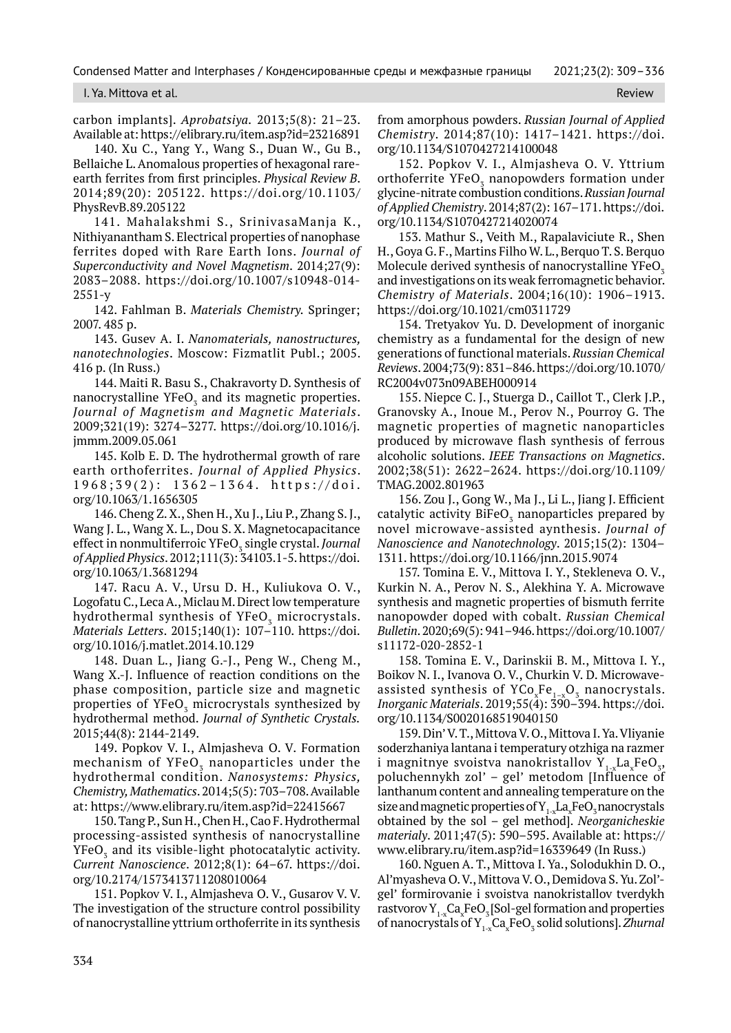I. Ya. Mittova et al. Review

carbon implants]. *Aprobatsiya.* 2013;5(8): 21–23. Available at: https://elibrary.ru/item.asp?id=23216891

140. Xu C., Yang Y., Wang S., Duan W., Gu B., Bellaiche L. Anomalous properties of hexagonal rareearth ferrites from first principles. *Physical Review B*. 2014;89(20): 205122. https://doi.org/10.1103/ PhysRevB.89.205122

141. Mahalakshmi S., SrinivasaManja K., Nithiyanantham S. Electrical properties of nanophase ferrites doped with Rare Earth Ions. *Journal of Superconductivity and Novel Magnetism*. 2014;27(9): 2083–2088. https://doi.org/10.1007/s10948-014- 2551-y

142. Fahlman B. *Materials Chemistry.* Springer; 2007. 485 p.

143. Gusev A. I. *Nanomaterials, nanostructures, nanotechnologies*. Moscow: Fizmatlit Publ.; 2005. 416 p. (In Russ.)

144. Maiti R. Basu S., Chakravorty D. Synthesis of nanocrystalline  $YFeO<sub>3</sub>$  and its magnetic properties. *Journal of Magnetism and Magnetic Materials*. 2009;321(19): 3274–3277. https://doi.org/10.1016/j. jmmm.2009.05.061

145. Kolb E. D. The hydrothermal growth of rare earth orthoferrites. *Journal of Applied Physics*. 1968;39(2): 1362–1364. https://doi. org/10.1063/1.1656305

146. Cheng Z. X., Shen H., Xu J., Liu P., Zhang S. J., Wang J. L., Wang X. L., Dou S. X. Magnetocapacitance effect in nonmultiferroic YFeO<sub>3</sub> single crystal. *Journal of Applied Physics*. 2012;111(3): 34103.1-5. https://doi. org/10.1063/1.3681294

147. Racu A. V., Ursu D. H., Kuliukova O. V., Logofatu C., Leca A., Miclau M. Direct low temperature hydrothermal synthesis of YFeO<sub>z</sub> microcrystals. *Materials Letters*. 2015;140(1): 107–110. https://doi. org/10.1016/j.matlet.2014.10.129

148. Duan L., Jiang G.-J., Peng W., Cheng M., Wang X.-J. Influence of reaction conditions on the phase composition, particle size and magnetic properties of YFeO $_{{}_3}$  microcrystals synthesized by hydrothermal method. *Journal of Synthetic Crystals.* 2015;44(8): 2144-2149.

149. Popkov V. I., Almjasheva O. V*.* Formation mechanism of  $YFeO<sub>z</sub>$  nanoparticles under the hydrothermal condition. *Nanosystems: Physics, Chemistry, Mathematics*. 2014;5(5): 703–708. Available at: https://www.elibrary.ru/item.asp?id=22415667

150. Tang P., Sun H., Chen H., Cao F. Hydrothermal processing-assisted synthesis of nanocrystalline  $\mathrm{YFeO}_{_3}$  and its visible-light photocatalytic activity. *Current Nanoscience*. 2012;8(1): 64–67. https://doi. org/10.2174/1573413711208010064

151. Popkov V. I., Almjasheva O. V., Gusarov V. V. The investigation of the structure control possibility of nanocrystalline yttrium orthoferrite in its synthesis from amorphous powders. *Russian Journal of Applied Chemistry*. 2014;87(10): 1417–1421. https://doi. org/10.1134/S1070427214100048

152. Popkov V. I., Almjasheva O. V. Yttrium orthoferrite  $\mathrm{YFeO}_{_3}$  nanopowders formation under glycine-nitrate combustion conditions. *Russian Journal of Applied Chemistry*. 2014;87(2): 167–171. https://doi. org/10.1134/S1070427214020074

153. Mathur S., Veith M., Rapalaviciute R., Shen H., Goya G. F., Martins Filho W. L., Berquo T. S. Berquo Molecule derived synthesis of nanocrystalline  $YFeO<sub>7</sub>$ and investigations on its weak ferromagnetic behavior. *Chemistry of Materials*. 2004;16(10): 1906–1913. https://doi.org/10.1021/cm0311729

154. Tretyakov Yu. D. Development of inorganic chemistry as a fundamental for the design of new generations of functional materials. *Russian Chemical Reviews*. 2004;73(9): 831–846. https://doi.org/10.1070/ RC2004v073n09ABEH000914

155. Niepce C. J., Stuerga D., Caillot T., Clerk J.P., Granovsky A., Inoue M., Perov N., Pourroy G. The magnetic properties of magnetic nanoparticles produced by microwave flash synthesis of ferrous alcoholic solutions. *IEEE Transactions on Magnetics*. 2002;38(51): 2622–2624. https://doi.org/10.1109/ TMAG.2002.801963

156. Zou J., Gong W., Ma J., Li L., Jiang J. Efficient catalytic activity  $\mathrm{BiFeO}_3$  nanoparticles prepared by novel microwave-assisted aynthesis. *Journal of Nanoscience and Nanotechnology*. 2015;15(2): 1304– 1311. https://doi.org/10.1166/jnn.2015.9074

157. Tomina E. V., Mittova I. Y., Stekleneva O. V., Kurkin N. A., Perov N. S., Alekhina Y. A. Microwave synthesis and magnetic properties of bismuth ferrite nanopowder doped with cobalt. *Russian Chemical Bulletin*. 2020;69(5): 941–946. https://doi.org/10.1007/ s11172-020-2852-1

158. Tomina E. V., Darinskii B. M., Mittova I. Y., Boikov N. I., Ivanova O. V., Churkin V. D. Microwaveassisted synthesis of  $YCo_xFe_{1-x}O_3$  nanocrystals. *Inorganic Materials*. 2019;55(4): 390–394. https://doi. org/10.1134/S0020168519040150

159. Din' V. T., Mittova V. O., Mittova I. Ya. Vliyanie soderzhaniya lantana i temperatury otzhiga na razmer i magnitnye svoistva nanokristallov Y $_{1-x}$ La $_{\mathrm{x}}$ FeO $_{\mathrm{3}}$ , poluchennykh zol' – gel' metodom [Influence of lanthanum content and annealing temperature on the size and magnetic properties of  ${\rm Y}_{1\cdot{\rm x}}{\rm La}_{\rm x}$ FeO<sub>3</sub> nanocrystals obtained by the sol – gel method]. *Neorganicheskie materialy*. 2011;47(5): 590–595. Available at: https:// www.elibrary.ru/item.asp?id=16339649 (In Russ.)

160. Nguen A. T., Mittova I. Ya., Solodukhin D. O., Al'myasheva O. V., Mittova V. O., Demidova S. Yu. Zol' gel' formirovanie i svoistva nanokristallov tverdykh rastvorov  $Y_{1-x}$ Ca<sub>x</sub>FeO<sub>3</sub> [Sol-gel formation and properties of nanocrystals of Y<sub>1-x</sub>Ca<sub>x</sub>FeO<sub>3</sub> solid solutions]. *Zhurnal*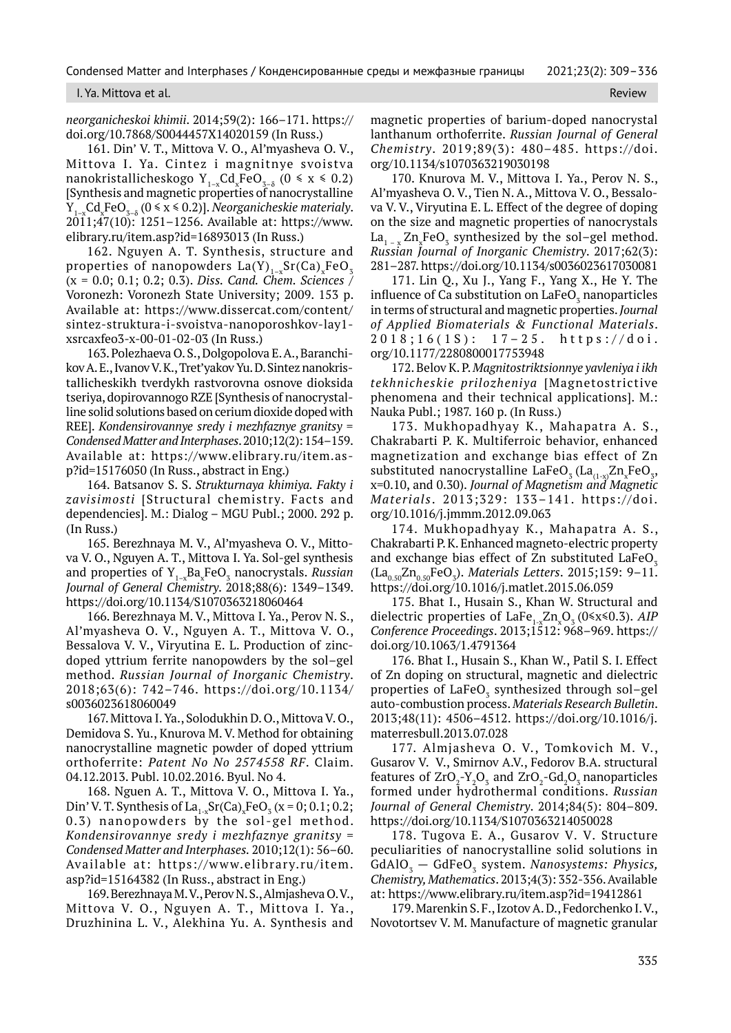#### I. Ya. Mittova et al. Review

*neorganicheskoi khimii*. 2014;59(2): 166–171. https:// doi.org/10.7868/S0044457X14020159 (In Russ.)

161. Din' V. T., Mittova V. O., Al'myasheva O. V., Mittova I. Ya. Cintez i magnitnye svoistva nanokristallicheskogo Y<sub>1-x</sub>Cd<sub>x</sub>FeO<sub>3-8</sub> (0  $\le$  x  $\le$  0.2) [Synthesis and magnetic properties of nanocrystalline  $Y_{1-x}$ Cd<sub>x</sub>FeO<sub>3- $\delta$ </sub> (0  $\le x \le 0.2$ )]. *Neorganicheskie materialy*. 2011;47(10): 1251–1256. Available at: https://www. elibrary.ru/item.asp?id=16893013 (In Russ.)

162. Nguyen A. T. Synthesis, structure and properties of nanopowders  $La(Y)_{1-x}Sr(Ca)_xFeO_x$ (x = 0.0; 0.1; 0.2; 0.3). *Diss. Cand. Chem. Sciences* / Voronezh: Voronezh State University; 2009. 153 p. Available at: https://www.dissercat.com/content/ sintez-struktura-i-svoistva-nanoporoshkov-lay1 xsrcaxfeo3-x-00-01-02-03 (In Russ.)

163. Polezhaeva O. S., Dolgopolova E. A., Baranchikov A. E., Ivanov V. K., Tret'yakov Yu. D. Sintez nanokristallicheskikh tverdykh rastvorovna osnove dioksida tseriya, dopirovannogo RZE [Synthesis of nanocrystalline solid solutions based on cerium dioxide doped with REE]. *Kondensirovannye sredy i mezhfaznye granitsy* = *Condensed Matter and Interphases*. 2010;12(2): 154–159. Available at: https://www.elibrary.ru/item.asp?id=15176050 (In Russ., abstract in Eng.)

164. Batsanov S. S. *Strukturnaya khimiya. Fakty i zavisimosti* [Structural chemistry. Facts and dependencies]. M.: Dialog – MGU Publ.; 2000. 292 p. (In Russ.)

165. Berezhnaya M. V., Al'myasheva O. V., Mittova V. O., Nguyen A. T., Mittova I. Ya. Sol-gel synthesis and properties of Y<sub>1-x</sub>Ba<sub>x</sub>FeO<sub>3</sub> nanocrystals. *Russian Journal of General Chemistry*. 2018;88(6): 1349–1349. https://doi.org/10.1134/S1070363218060464

166. Berezhnaya M. V., Mittova I. Ya., Perov N. S., Al'myasheva O. V., Nguyen A. T., Mittova V. O., Bessalova V. V., Viryutina E. L. Production of zincdoped yttrium ferrite nanopowders by the sol–gel method. *Russian Journal of Inorganic Chemistry*. 2018;63(6): 742–746. https://doi.org/10.1134/ s0036023618060049

167. Mittova I. Ya., Solodukhin D. O., Mittova V. O., Demidova S. Yu., Knurova M. V. Method for obtaining nanocrystalline magnetic powder of doped yttrium orthoferrite: *Patent No No 2574558 RF*. Claim. 04.12.2013. Publ. 10.02.2016. Byul. No 4.

168. Nguen A. T., Mittova V. O., Mittova I. Ya., Din' V. T. Synthesis of  $\text{La}_{1-x}\text{Sr(Ca)}_{x}\text{FeO}_3(x=0; 0.1; 0.2;$ 0.3) nanopowders by the sol-gel method. *Kondensirovannye sredy i mezhfaznye granitsy = Condensed Matter and Interphases.* 2010;12(1): 56–60. Available at: https://www.elibrary.ru/item. asp?id=15164382 (In Russ., abstract in Eng.)

169. Berezhnaya M. V., Perov N. S., Almjasheva O. V., Mittova V. O., Nguyen A. T., Mittova I. Ya., Druzhinina L. V., Alekhina Yu. A. Synthesis and magnetic properties of barium-doped nanocrystal lanthanum orthoferrite. *Russian Journal of General Chemistry*. 2019;89(3): 480–485. https://doi. org/10.1134/s1070363219030198

170. Knurova M. V., Mittova I. Ya., Perov N. S., Al'myasheva O. V., Tien N. A., Mittova V. O., Bessalova V. V., Viryutina E. L. Effect of the degree of doping on the size and magnetic properties of nanocrystals  $\text{La}_{1-x} \text{Zn}_x \text{FeO}_3$  synthesized by the sol–gel method. *Russian Journal of Inorganic Chemistry*. 2017;62(3): 281–287. https://doi.org/10.1134/s0036023617030081

171. Lin Q., Xu J., Yang F., Yang X., He Y. The influence of Ca substitution on LaFeO $_3$  nanoparticles in terms of structural and magnetic properties. *Journal of Applied Biomaterials & Functional Materials*. 2018;16(1S): 17–25. https://doi. org/10.1177/2280800017753948

172. Belov K. P. *Magnitostriktsionnye yavleniya i ikh tekhnicheskie prilozheniya* [Magnetostrictive phenomena and their technical applications]. M.: Nauka Publ.; 1987. 160 p. (In Russ.)

173. Mukhopadhyay K., Mahapatra A. S., Chakrabarti P. K. Multiferroic behavior, enhanced magnetization and exchange bias effect of Zn substituted nanocrystalline LaFe $O_3$  (La $_{(1-x)}Zn_xFeO_3$ , x=0.10, and 0.30). *Journal of Magnetism and Magnetic Materials*. 2013;329: 133–141. https://doi. org/10.1016/j.jmmm.2012.09.063

174. Mukhopadhyay K., Mahapatra A. S., Chakrabarti P. K. Enhanced magneto-electric property and exchange bias effect of Zn substituted LaFeO<sub>z</sub>  $\rm (La_{0.50}Zn_{0.50}FeO_3)$ . *Materials Letters*. 2015;159: 9–11. https://doi.org/10.1016/j.matlet.2015.06.059

175. Bhat I., Husain S., Khan W. Structural and dielectric properties of LaFe<sub>1-x</sub>Zn<sub>x</sub>O<sub>3</sub> (0≤x≤0.3). *AIP Conference Proceedings*. 2013;1512: 968–969. https:// doi.org/10.1063/1.4791364

176. Bhat I., Husain S., Khan W., Patil S. I. Effect of Zn doping on structural, magnetic and dielectric properties of  $\text{LaFeO}_{\text{3}}$  synthesized through sol–gel auto-combustion process. *Materials Research Bulletin*. 2013;48(11): 4506–4512. https://doi.org/10.1016/j. materresbull.2013.07.028

177. Almjasheva O. V., Tomkovich M. V., Gusarov V. V., Smirnov A.V., Fedorov B.A. structural features of  $ZrO<sub>2</sub>-Y<sub>2</sub>O<sub>3</sub>$  and  $ZrO<sub>2</sub>-Gd<sub>2</sub>O<sub>3</sub>$  nanoparticles formed under hydrothermal conditions. *Russian Journal of General Chemistry*. 2014;84(5): 804–809. https://doi.org/10.1134/S1070363214050028

178. Тugova Е. А., Gusarov V. V. Structure peculiarities of nanocrystalline solid solutions in GdAlO<sub>3</sub> — GdFeO<sub>3</sub> system. *Nanosystems: Physics*, *Chemistry, Mathematics*. 2013;4(3): 352-356. Available at: https://www.elibrary.ru/item.asp?id=19412861

179. Marenkin S. F., Izotov A. D., Fedorchenko I. V., Novotortsev V. M. Manufacture of magnetic granular